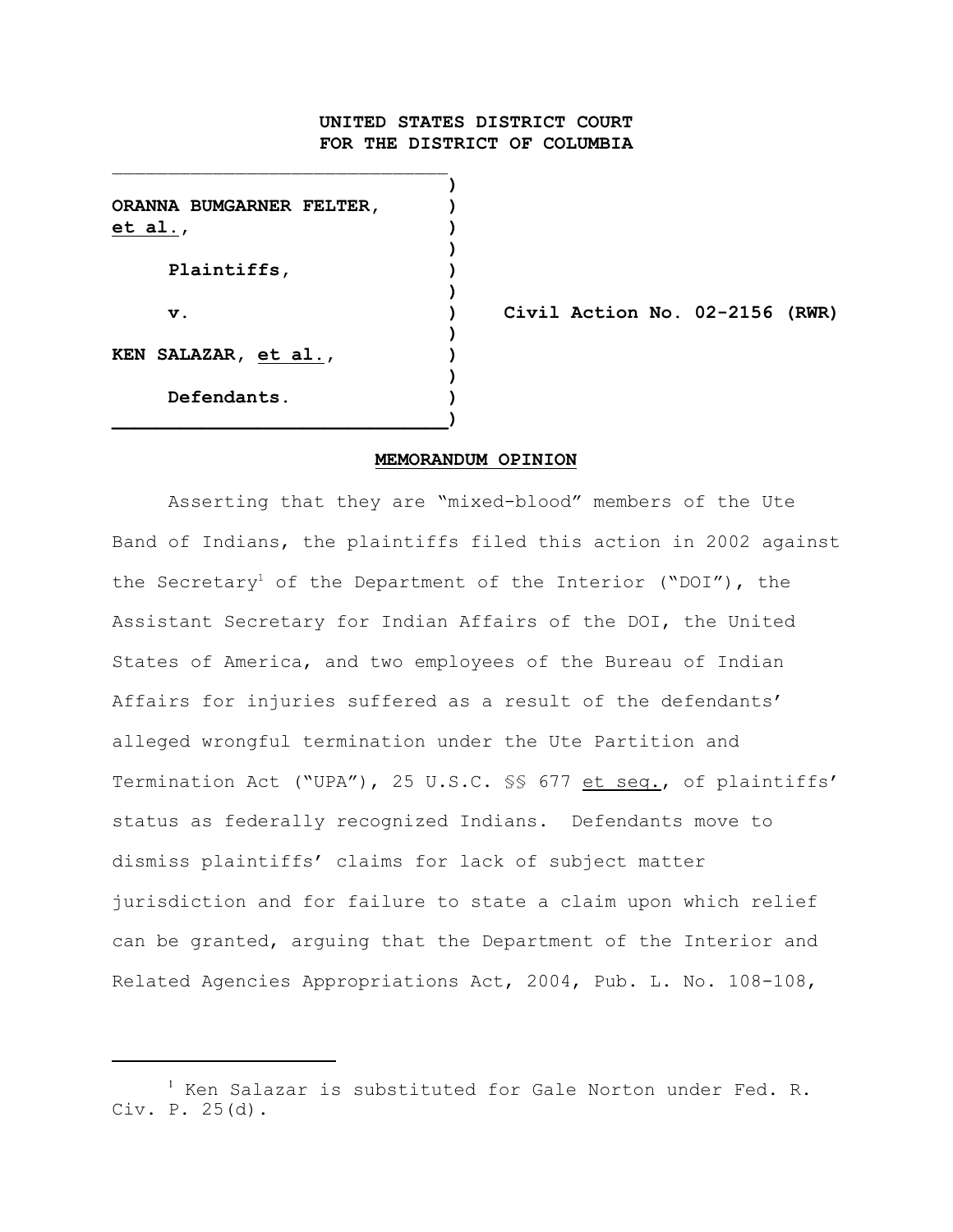# **UNITED STATES DISTRICT COURT FOR THE DISTRICT OF COLUMBIA**

| ORANNA BUMGARNER FELTER,<br>et al., |  |
|-------------------------------------|--|
| Plaintiffs,                         |  |
| ν.                                  |  |
| KEN SALAZAR, et al.,                |  |
| Defendants.                         |  |
|                                     |  |

 $\mathcal{L}_\text{max}$ 

**v. ) Civil Action No. 02-2156 (RWR)**

## **MEMORANDUM OPINION**

Asserting that they are "mixed-blood" members of the Ute Band of Indians, the plaintiffs filed this action in 2002 against the Secretary<sup>1</sup> of the Department of the Interior ("DOI"), the Assistant Secretary for Indian Affairs of the DOI, the United States of America, and two employees of the Bureau of Indian Affairs for injuries suffered as a result of the defendants' alleged wrongful termination under the Ute Partition and Termination Act ("UPA"), 25 U.S.C. §§ 677 et seq., of plaintiffs' status as federally recognized Indians. Defendants move to dismiss plaintiffs' claims for lack of subject matter jurisdiction and for failure to state a claim upon which relief can be granted, arguing that the Department of the Interior and Related Agencies Appropriations Act, 2004, Pub. L. No. 108-108,

 $1$  Ken Salazar is substituted for Gale Norton under Fed. R. Civ. P. 25(d).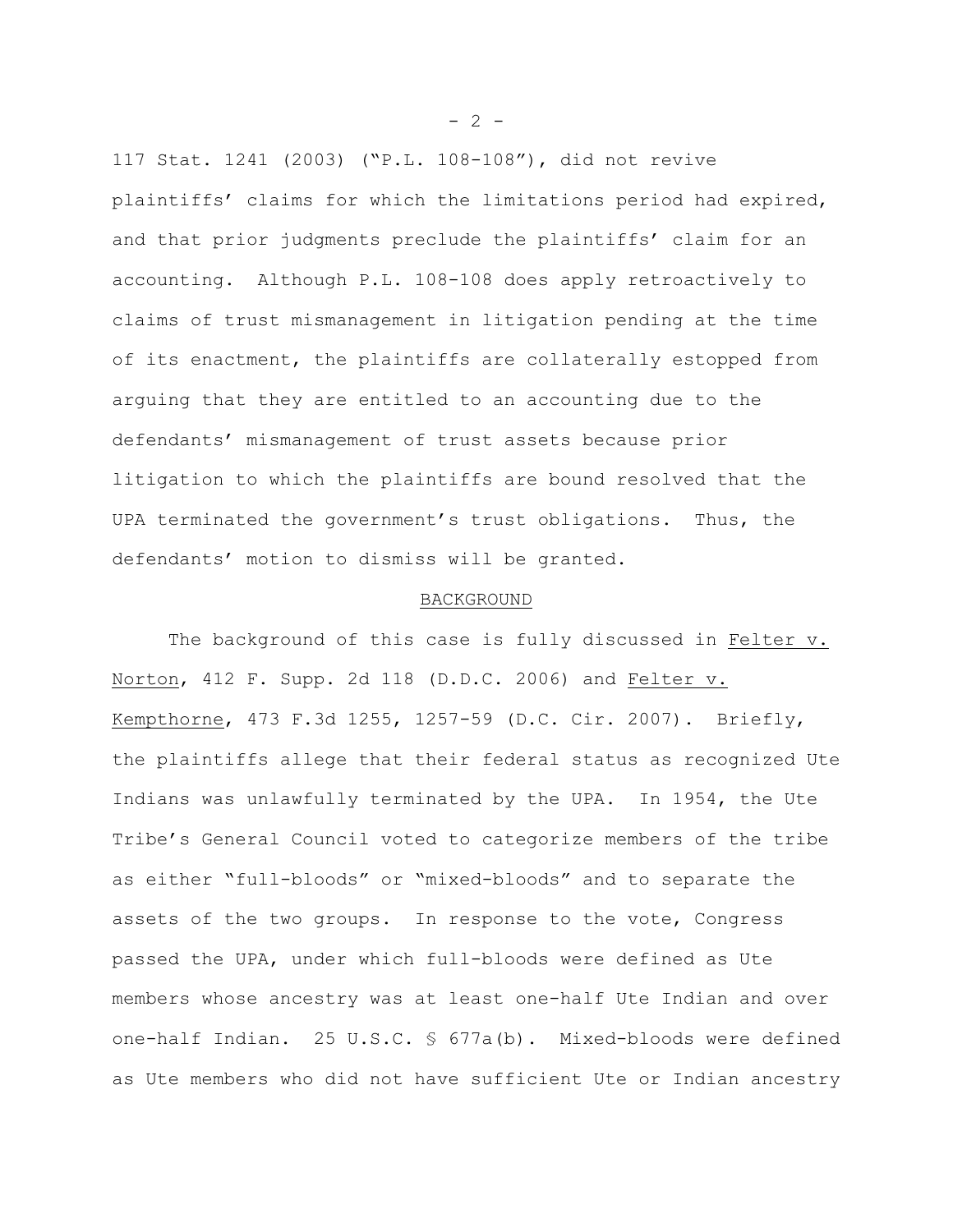117 Stat. 1241 (2003) ("P.L. 108-108"), did not revive plaintiffs' claims for which the limitations period had expired, and that prior judgments preclude the plaintiffs' claim for an accounting. Although P.L. 108-108 does apply retroactively to claims of trust mismanagement in litigation pending at the time of its enactment, the plaintiffs are collaterally estopped from arguing that they are entitled to an accounting due to the defendants' mismanagement of trust assets because prior litigation to which the plaintiffs are bound resolved that the UPA terminated the government's trust obligations. Thus, the defendants' motion to dismiss will be granted.

#### BACKGROUND

The background of this case is fully discussed in Felter v. Norton, 412 F. Supp. 2d 118 (D.D.C. 2006) and Felter v. Kempthorne, 473 F.3d 1255, 1257-59 (D.C. Cir. 2007). Briefly, the plaintiffs allege that their federal status as recognized Ute Indians was unlawfully terminated by the UPA. In 1954, the Ute Tribe's General Council voted to categorize members of the tribe as either "full-bloods" or "mixed-bloods" and to separate the assets of the two groups. In response to the vote, Congress passed the UPA, under which full-bloods were defined as Ute members whose ancestry was at least one-half Ute Indian and over one-half Indian. 25 U.S.C. § 677a(b). Mixed-bloods were defined as Ute members who did not have sufficient Ute or Indian ancestry

 $- 2 -$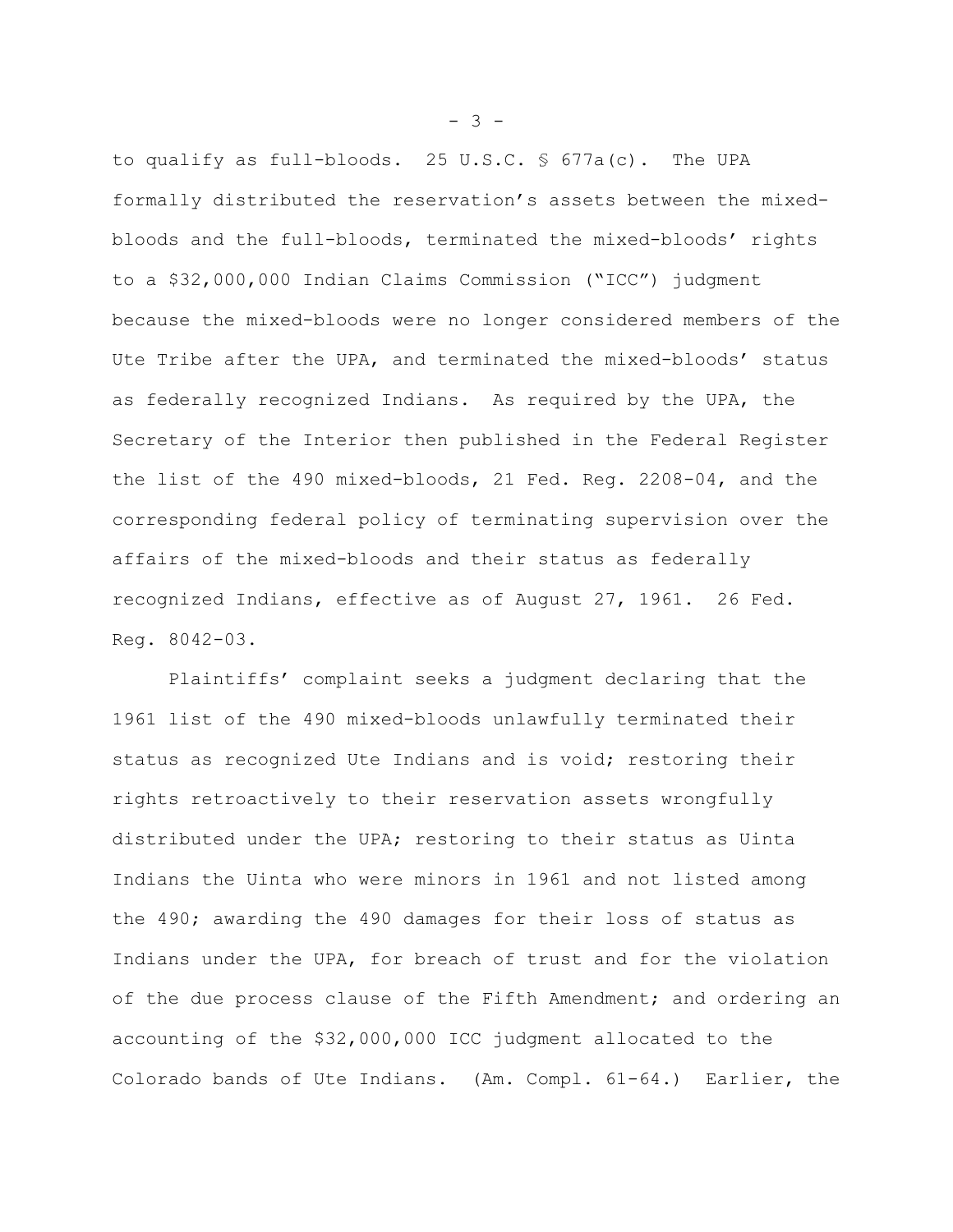to qualify as full-bloods. 25 U.S.C. § 677a(c). The UPA formally distributed the reservation's assets between the mixedbloods and the full-bloods, terminated the mixed-bloods' rights to a \$32,000,000 Indian Claims Commission ("ICC") judgment because the mixed-bloods were no longer considered members of the Ute Tribe after the UPA, and terminated the mixed-bloods' status as federally recognized Indians. As required by the UPA, the Secretary of the Interior then published in the Federal Register the list of the 490 mixed-bloods, 21 Fed. Reg. 2208-04, and the corresponding federal policy of terminating supervision over the affairs of the mixed-bloods and their status as federally recognized Indians, effective as of August 27, 1961. 26 Fed. Reg. 8042-03.

Plaintiffs' complaint seeks a judgment declaring that the 1961 list of the 490 mixed-bloods unlawfully terminated their status as recognized Ute Indians and is void; restoring their rights retroactively to their reservation assets wrongfully distributed under the UPA; restoring to their status as Uinta Indians the Uinta who were minors in 1961 and not listed among the 490; awarding the 490 damages for their loss of status as Indians under the UPA, for breach of trust and for the violation of the due process clause of the Fifth Amendment; and ordering an accounting of the \$32,000,000 ICC judgment allocated to the Colorado bands of Ute Indians. (Am. Compl. 61-64.) Earlier, the

- 3 -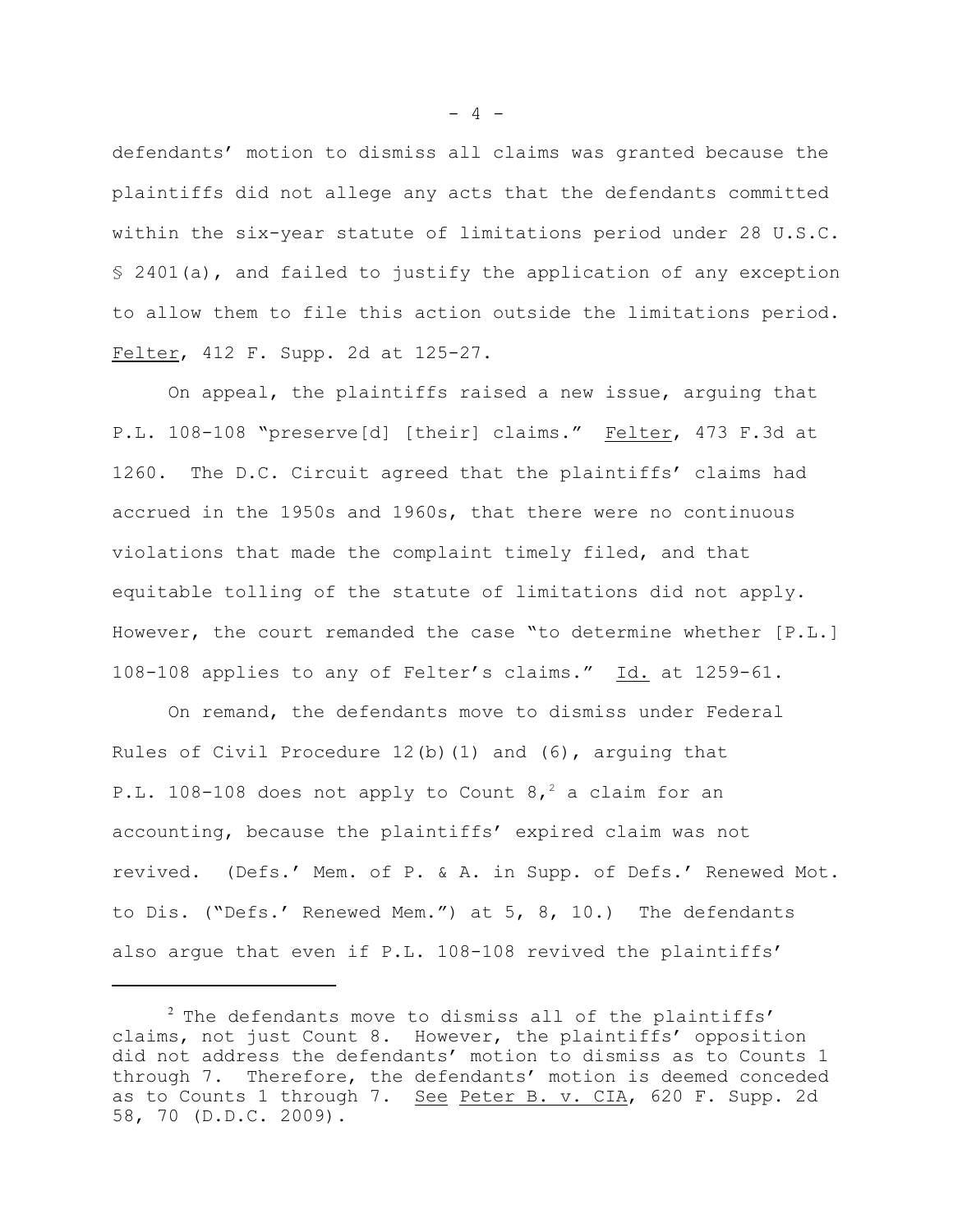defendants' motion to dismiss all claims was granted because the plaintiffs did not allege any acts that the defendants committed within the six-year statute of limitations period under 28 U.S.C. § 2401(a), and failed to justify the application of any exception to allow them to file this action outside the limitations period. Felter, 412 F. Supp. 2d at 125-27.

On appeal, the plaintiffs raised a new issue, arguing that P.L. 108-108 "preserve[d] [their] claims." Felter, 473 F.3d at 1260. The D.C. Circuit agreed that the plaintiffs' claims had accrued in the 1950s and 1960s, that there were no continuous violations that made the complaint timely filed, and that equitable tolling of the statute of limitations did not apply. However, the court remanded the case "to determine whether [P.L.] 108-108 applies to any of Felter's claims." Id. at 1259-61.

On remand, the defendants move to dismiss under Federal Rules of Civil Procedure 12(b)(1) and (6), arguing that P.L. 108-108 does not apply to Count  $8,^2$  a claim for an accounting, because the plaintiffs' expired claim was not revived. (Defs.' Mem. of P. & A. in Supp. of Defs.' Renewed Mot. to Dis. ("Defs.' Renewed Mem.") at 5, 8, 10.) The defendants also argue that even if P.L. 108-108 revived the plaintiffs'

 $-4 -$ 

 $2$  The defendants move to dismiss all of the plaintiffs' claims, not just Count 8. However, the plaintiffs' opposition did not address the defendants' motion to dismiss as to Counts 1 through 7. Therefore, the defendants' motion is deemed conceded as to Counts 1 through 7. See Peter B. v. CIA, 620 F. Supp. 2d 58, 70 (D.D.C. 2009).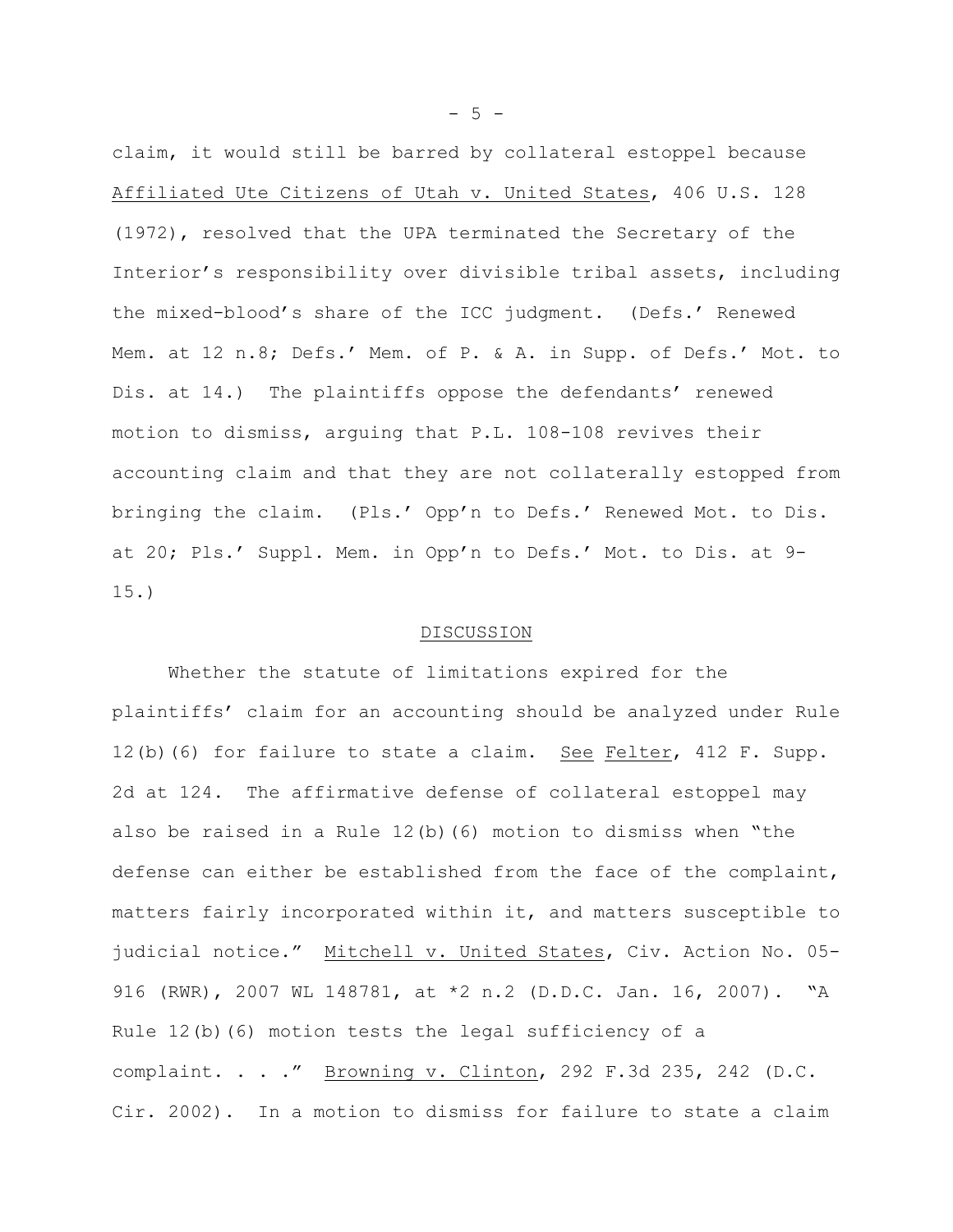claim, it would still be barred by collateral estoppel because Affiliated Ute Citizens of Utah v. United States, 406 U.S. 128 (1972), resolved that the UPA terminated the Secretary of the Interior's responsibility over divisible tribal assets, including the mixed-blood's share of the ICC judgment. (Defs.' Renewed Mem. at 12 n.8; Defs.' Mem. of P. & A. in Supp. of Defs.' Mot. to Dis. at 14.) The plaintiffs oppose the defendants' renewed motion to dismiss, arguing that P.L. 108-108 revives their accounting claim and that they are not collaterally estopped from bringing the claim. (Pls.' Opp'n to Defs.' Renewed Mot. to Dis. at 20; Pls.' Suppl. Mem. in Opp'n to Defs.' Mot. to Dis. at 9- 15.)

#### DISCUSSION

Whether the statute of limitations expired for the plaintiffs' claim for an accounting should be analyzed under Rule 12(b)(6) for failure to state a claim. See Felter, 412 F. Supp. 2d at 124. The affirmative defense of collateral estoppel may also be raised in a Rule  $12(b)$  (6) motion to dismiss when "the defense can either be established from the face of the complaint, matters fairly incorporated within it, and matters susceptible to judicial notice." Mitchell v. United States, Civ. Action No. 05- 916 (RWR), 2007 WL 148781, at \*2 n.2 (D.D.C. Jan. 16, 2007). "A Rule  $12(b)$  (6) motion tests the legal sufficiency of a complaint. . . ." Browning v. Clinton, 292 F.3d 235, 242 (D.C. Cir. 2002). In a motion to dismiss for failure to state a claim

 $-5 -$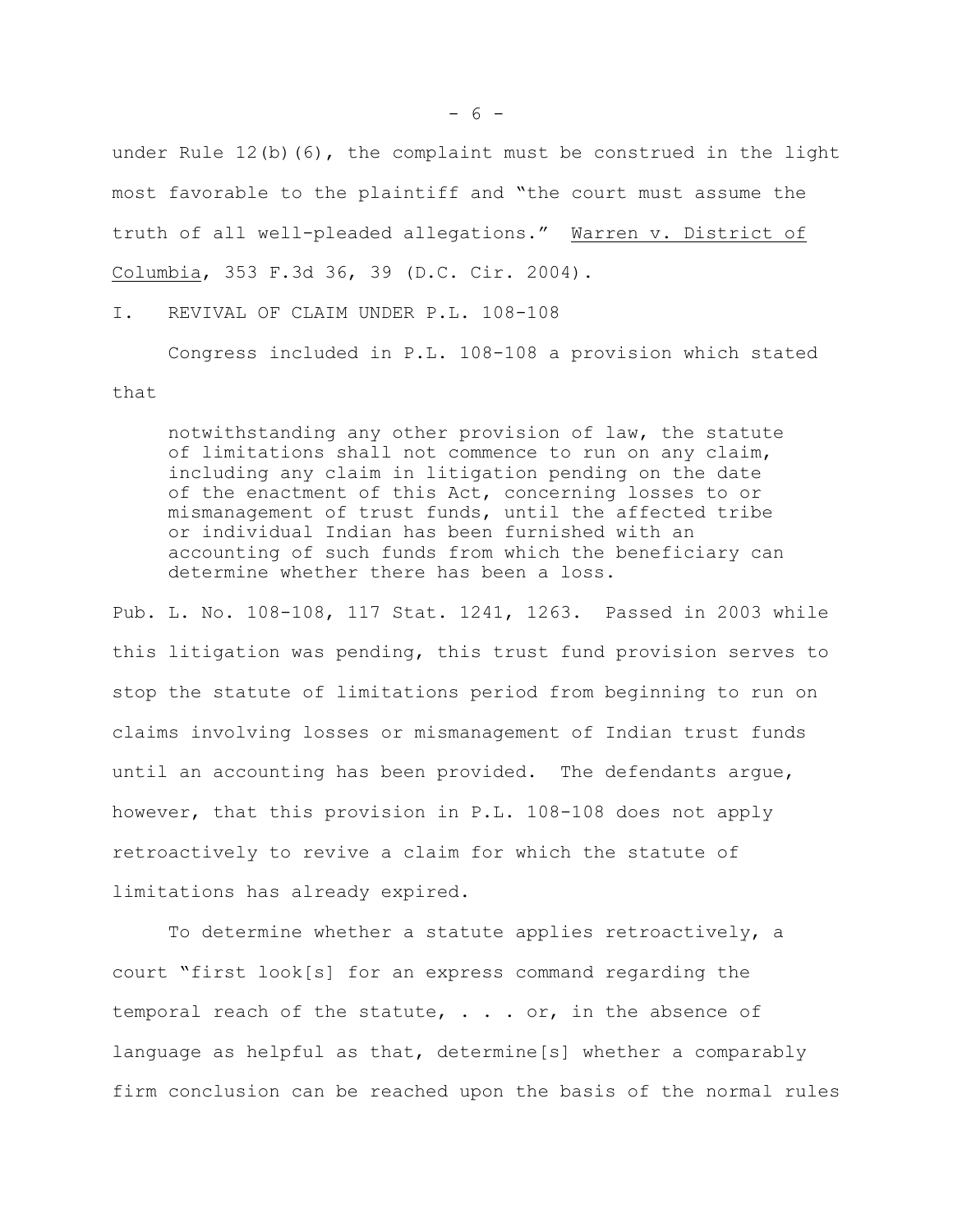under Rule 12(b)(6), the complaint must be construed in the light most favorable to the plaintiff and "the court must assume the truth of all well-pleaded allegations." Warren v. District of Columbia, 353 F.3d 36, 39 (D.C. Cir. 2004).

I. REVIVAL OF CLAIM UNDER P.L. 108-108

Congress included in P.L. 108-108 a provision which stated that

notwithstanding any other provision of law, the statute of limitations shall not commence to run on any claim, including any claim in litigation pending on the date of the enactment of this Act, concerning losses to or mismanagement of trust funds, until the affected tribe or individual Indian has been furnished with an accounting of such funds from which the beneficiary can determine whether there has been a loss.

Pub. L. No. 108-108, 117 Stat. 1241, 1263. Passed in 2003 while this litigation was pending, this trust fund provision serves to stop the statute of limitations period from beginning to run on claims involving losses or mismanagement of Indian trust funds until an accounting has been provided. The defendants argue, however, that this provision in P.L. 108-108 does not apply retroactively to revive a claim for which the statute of limitations has already expired.

To determine whether a statute applies retroactively, a court "first look[s] for an express command regarding the temporal reach of the statute,  $\ldots$  or, in the absence of language as helpful as that, determine[s] whether a comparably firm conclusion can be reached upon the basis of the normal rules

- 6 -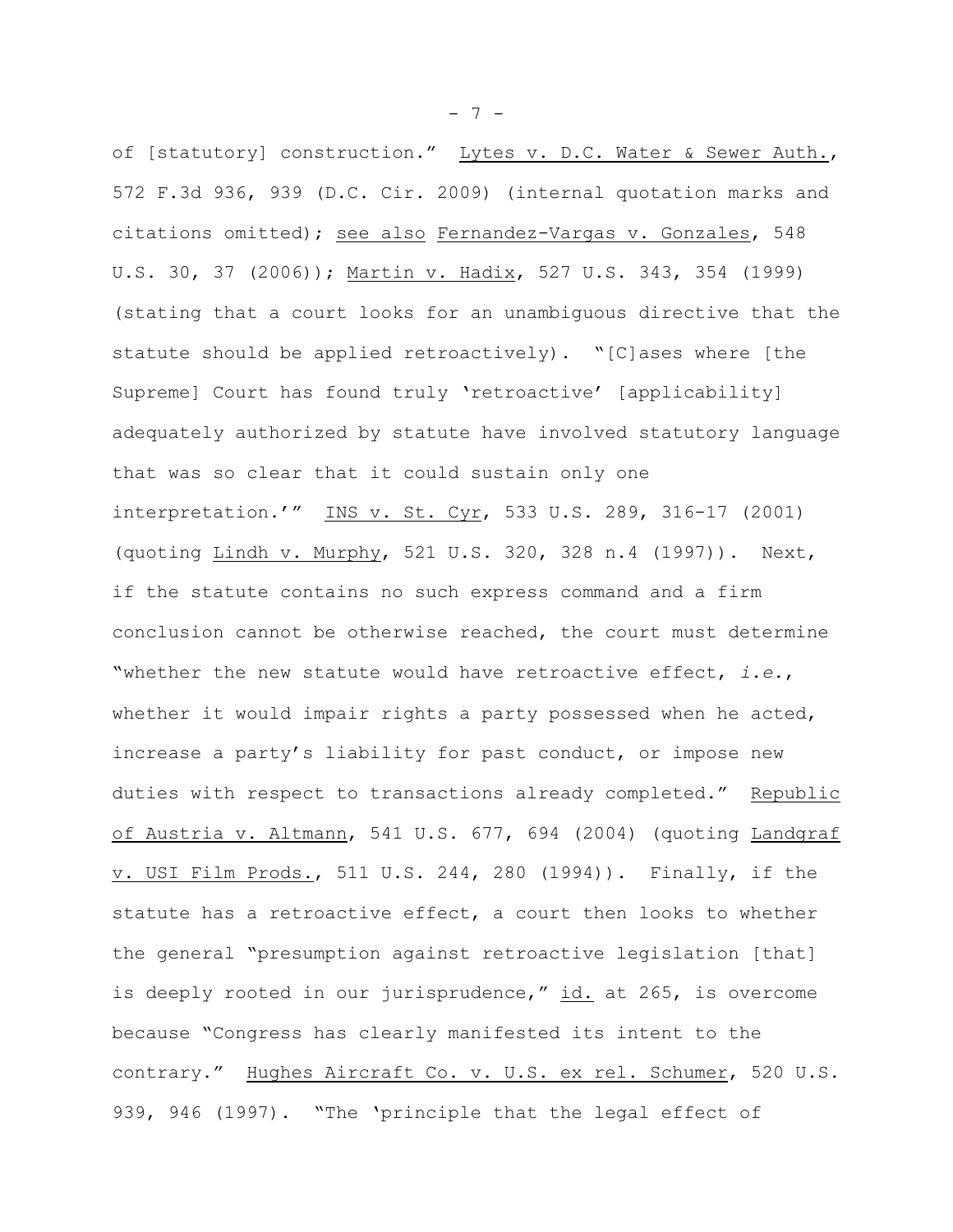of [statutory] construction." Lytes v. D.C. Water & Sewer Auth., 572 F.3d 936, 939 (D.C. Cir. 2009) (internal quotation marks and citations omitted); see also Fernandez-Vargas v. Gonzales, 548 U.S. 30, 37 (2006)); Martin v. Hadix, 527 U.S. 343, 354 (1999) (stating that a court looks for an unambiguous directive that the statute should be applied retroactively). "[C]ases where [the Supreme] Court has found truly 'retroactive' [applicability] adequately authorized by statute have involved statutory language that was so clear that it could sustain only one interpretation.'" INS v. St. Cyr, 533 U.S. 289, 316-17 (2001) (quoting Lindh v. Murphy, 521 U.S. 320, 328 n.4 (1997)). Next, if the statute contains no such express command and a firm conclusion cannot be otherwise reached, the court must determine "whether the new statute would have retroactive effect, *i.e.*, whether it would impair rights a party possessed when he acted, increase a party's liability for past conduct, or impose new duties with respect to transactions already completed." Republic of Austria v. Altmann, 541 U.S. 677, 694 (2004) (quoting Landgraf v. USI Film Prods., 511 U.S. 244, 280 (1994)). Finally, if the statute has a retroactive effect, a court then looks to whether the general "presumption against retroactive legislation [that] is deeply rooted in our jurisprudence," id. at 265, is overcome because "Congress has clearly manifested its intent to the contrary." Hughes Aircraft Co. v. U.S. ex rel. Schumer, 520 U.S. 939, 946 (1997). "The 'principle that the legal effect of

- 7 -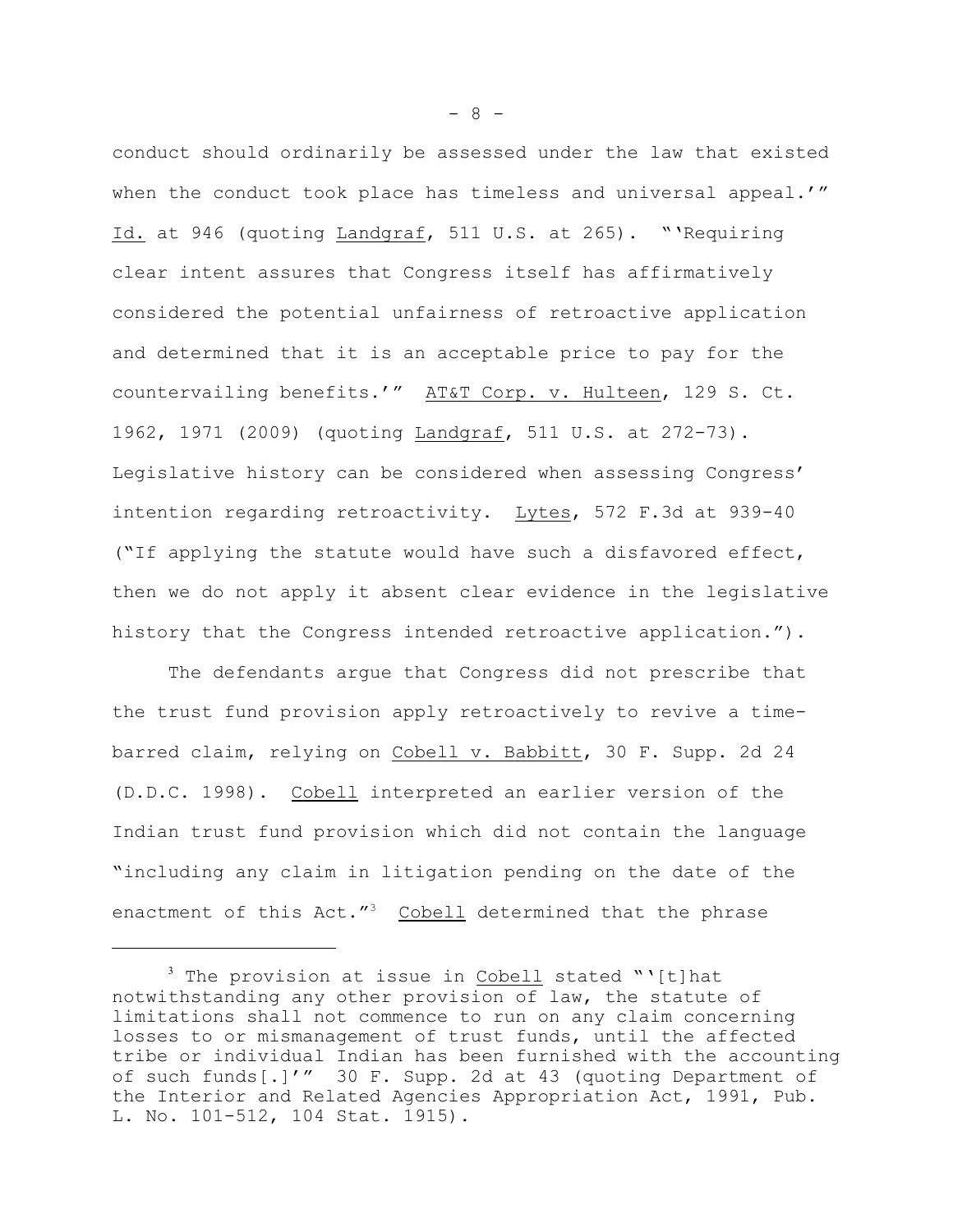conduct should ordinarily be assessed under the law that existed when the conduct took place has timeless and universal appeal.'" Id. at 946 (quoting Landgraf, 511 U.S. at 265). "'Requiring clear intent assures that Congress itself has affirmatively considered the potential unfairness of retroactive application and determined that it is an acceptable price to pay for the countervailing benefits.'" AT&T Corp. v. Hulteen, 129 S. Ct. 1962, 1971 (2009) (quoting Landgraf, 511 U.S. at 272-73). Legislative history can be considered when assessing Congress' intention regarding retroactivity. Lytes, 572 F.3d at 939-40 ("If applying the statute would have such a disfavored effect, then we do not apply it absent clear evidence in the legislative history that the Congress intended retroactive application.").

The defendants argue that Congress did not prescribe that the trust fund provision apply retroactively to revive a timebarred claim, relying on Cobell v. Babbitt, 30 F. Supp. 2d 24 (D.D.C. 1998). Cobell interpreted an earlier version of the Indian trust fund provision which did not contain the language "including any claim in litigation pending on the date of the enactment of this Act."<sup>3</sup> Cobell determined that the phrase

- 8 -

 $3$  The provision at issue in Cobell stated "'[t]hat notwithstanding any other provision of law, the statute of limitations shall not commence to run on any claim concerning losses to or mismanagement of trust funds, until the affected tribe or individual Indian has been furnished with the accounting of such funds[.]'" 30 F. Supp. 2d at 43 (quoting Department of the Interior and Related Agencies Appropriation Act, 1991, Pub. L. No. 101-512, 104 Stat. 1915).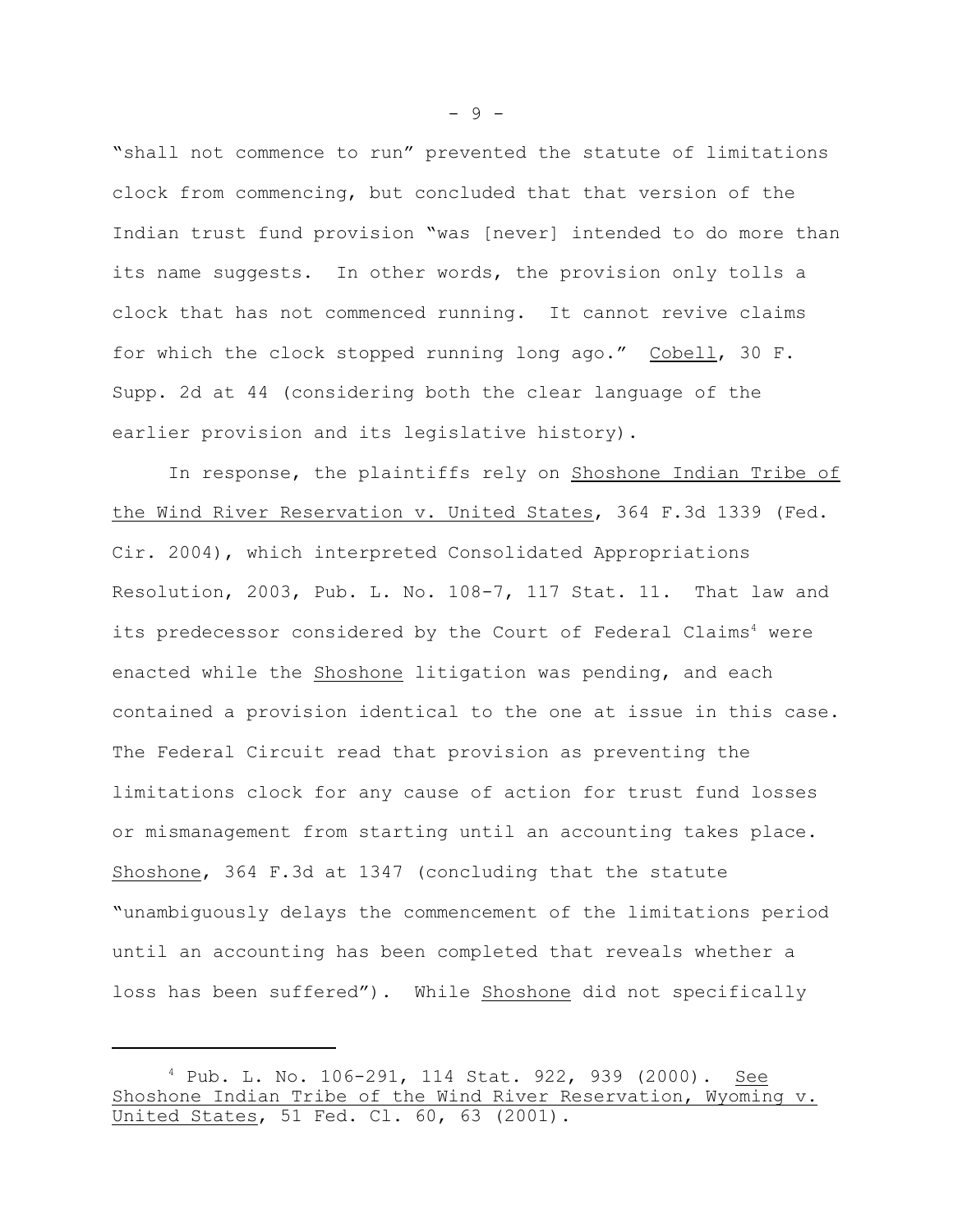"shall not commence to run" prevented the statute of limitations clock from commencing, but concluded that that version of the Indian trust fund provision "was [never] intended to do more than its name suggests. In other words, the provision only tolls a clock that has not commenced running. It cannot revive claims for which the clock stopped running long ago." Cobell, 30 F. Supp. 2d at 44 (considering both the clear language of the earlier provision and its legislative history).

In response, the plaintiffs rely on Shoshone Indian Tribe of the Wind River Reservation v. United States, 364 F.3d 1339 (Fed. Cir. 2004), which interpreted Consolidated Appropriations Resolution, 2003, Pub. L. No. 108-7, 117 Stat. 11. That law and its predecessor considered by the Court of Federal Claims<sup>4</sup> were enacted while the Shoshone litigation was pending, and each contained a provision identical to the one at issue in this case. The Federal Circuit read that provision as preventing the limitations clock for any cause of action for trust fund losses or mismanagement from starting until an accounting takes place. Shoshone, 364 F.3d at 1347 (concluding that the statute "unambiguously delays the commencement of the limitations period until an accounting has been completed that reveals whether a loss has been suffered"). While Shoshone did not specifically

- 9 -

 $4$  Pub. L. No. 106-291, 114 Stat. 922, 939 (2000). See Shoshone Indian Tribe of the Wind River Reservation, Wyoming v. United States, 51 Fed. Cl. 60, 63 (2001).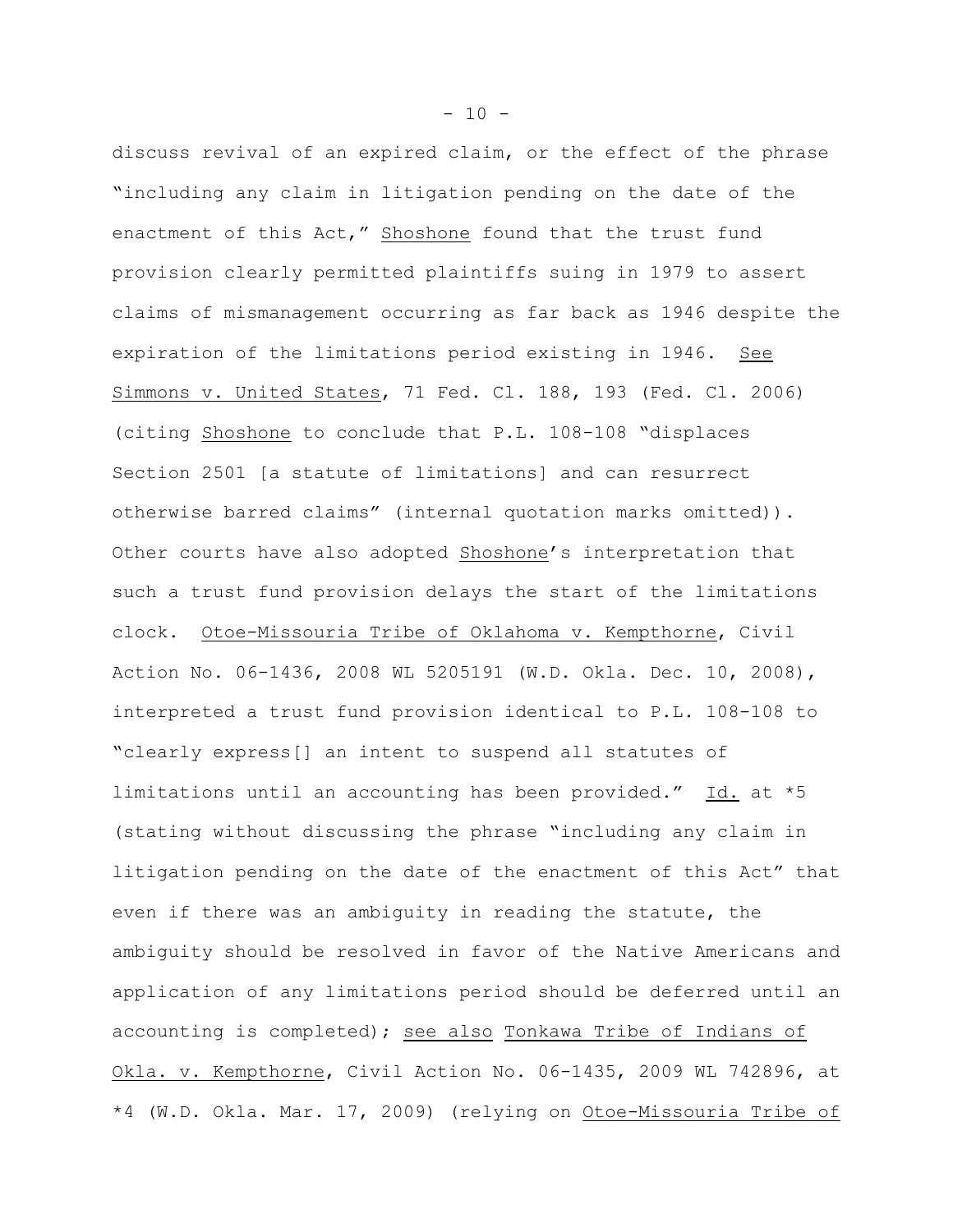discuss revival of an expired claim, or the effect of the phrase "including any claim in litigation pending on the date of the enactment of this Act," Shoshone found that the trust fund provision clearly permitted plaintiffs suing in 1979 to assert claims of mismanagement occurring as far back as 1946 despite the expiration of the limitations period existing in 1946. See Simmons v. United States, 71 Fed. Cl. 188, 193 (Fed. Cl. 2006) (citing Shoshone to conclude that P.L. 108-108 "displaces Section 2501 [a statute of limitations] and can resurrect otherwise barred claims" (internal quotation marks omitted)). Other courts have also adopted Shoshone's interpretation that such a trust fund provision delays the start of the limitations clock. Otoe-Missouria Tribe of Oklahoma v. Kempthorne, Civil Action No. 06-1436, 2008 WL 5205191 (W.D. Okla. Dec. 10, 2008), interpreted a trust fund provision identical to P.L. 108-108 to "clearly express[] an intent to suspend all statutes of limitations until an accounting has been provided." Id. at \*5 (stating without discussing the phrase "including any claim in litigation pending on the date of the enactment of this Act" that even if there was an ambiguity in reading the statute, the ambiguity should be resolved in favor of the Native Americans and application of any limitations period should be deferred until an accounting is completed); see also Tonkawa Tribe of Indians of Okla. v. Kempthorne, Civil Action No. 06-1435, 2009 WL 742896, at \*4 (W.D. Okla. Mar. 17, 2009) (relying on Otoe-Missouria Tribe of

 $- 10 -$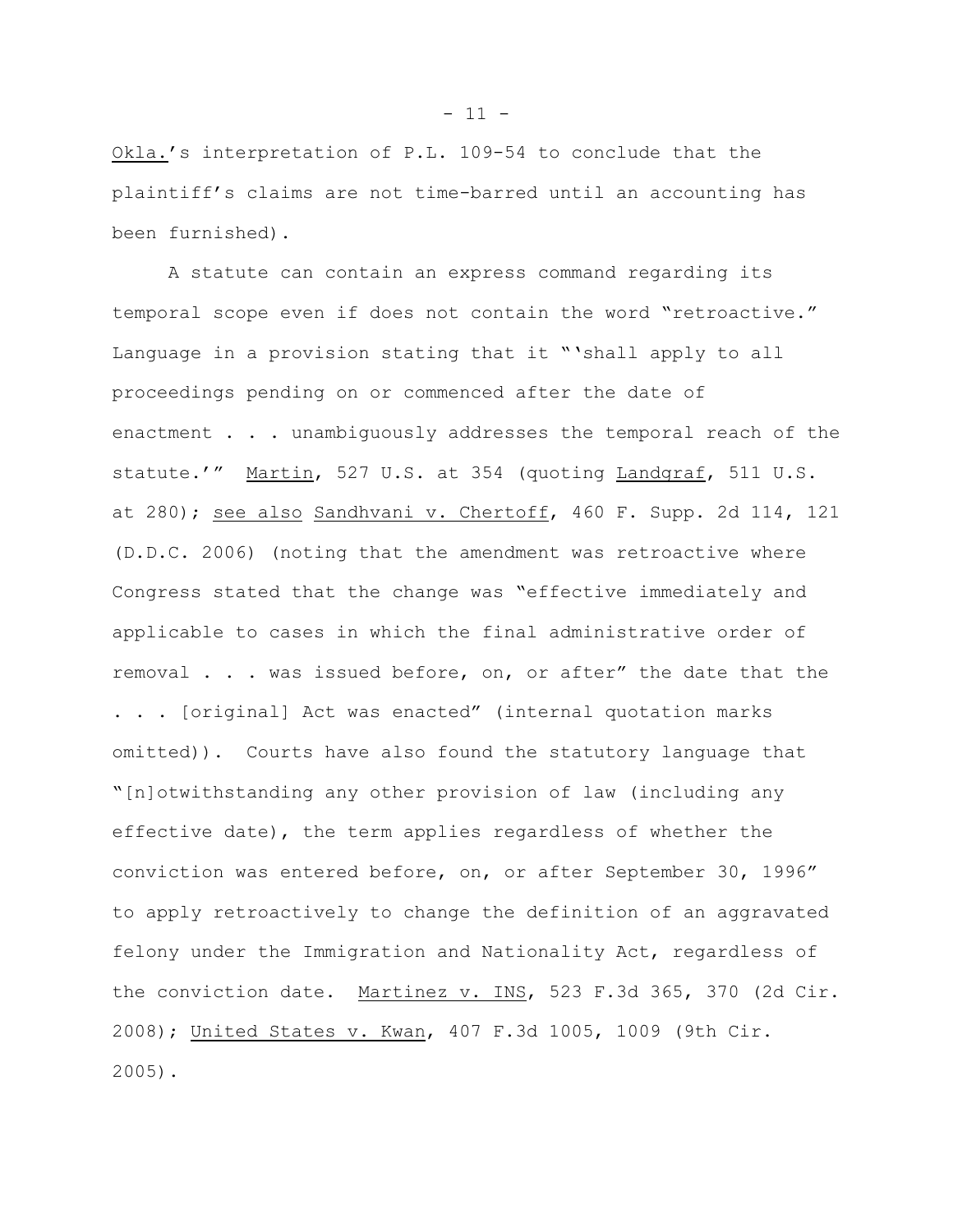Okla.'s interpretation of P.L. 109-54 to conclude that the plaintiff's claims are not time-barred until an accounting has been furnished).

A statute can contain an express command regarding its temporal scope even if does not contain the word "retroactive." Language in a provision stating that it "'shall apply to all proceedings pending on or commenced after the date of enactment . . . unambiguously addresses the temporal reach of the statute.'" Martin, 527 U.S. at 354 (quoting Landgraf, 511 U.S. at 280); see also Sandhvani v. Chertoff, 460 F. Supp. 2d 114, 121 (D.D.C. 2006) (noting that the amendment was retroactive where Congress stated that the change was "effective immediately and applicable to cases in which the final administrative order of removal . . . was issued before, on, or after" the date that the . . . [original] Act was enacted" (internal quotation marks omitted)). Courts have also found the statutory language that "[n]otwithstanding any other provision of law (including any effective date), the term applies regardless of whether the conviction was entered before, on, or after September 30, 1996" to apply retroactively to change the definition of an aggravated felony under the Immigration and Nationality Act, regardless of the conviction date. Martinez v. INS, 523 F.3d 365, 370 (2d Cir. 2008); United States v. Kwan, 407 F.3d 1005, 1009 (9th Cir. 2005).

 $-11 -$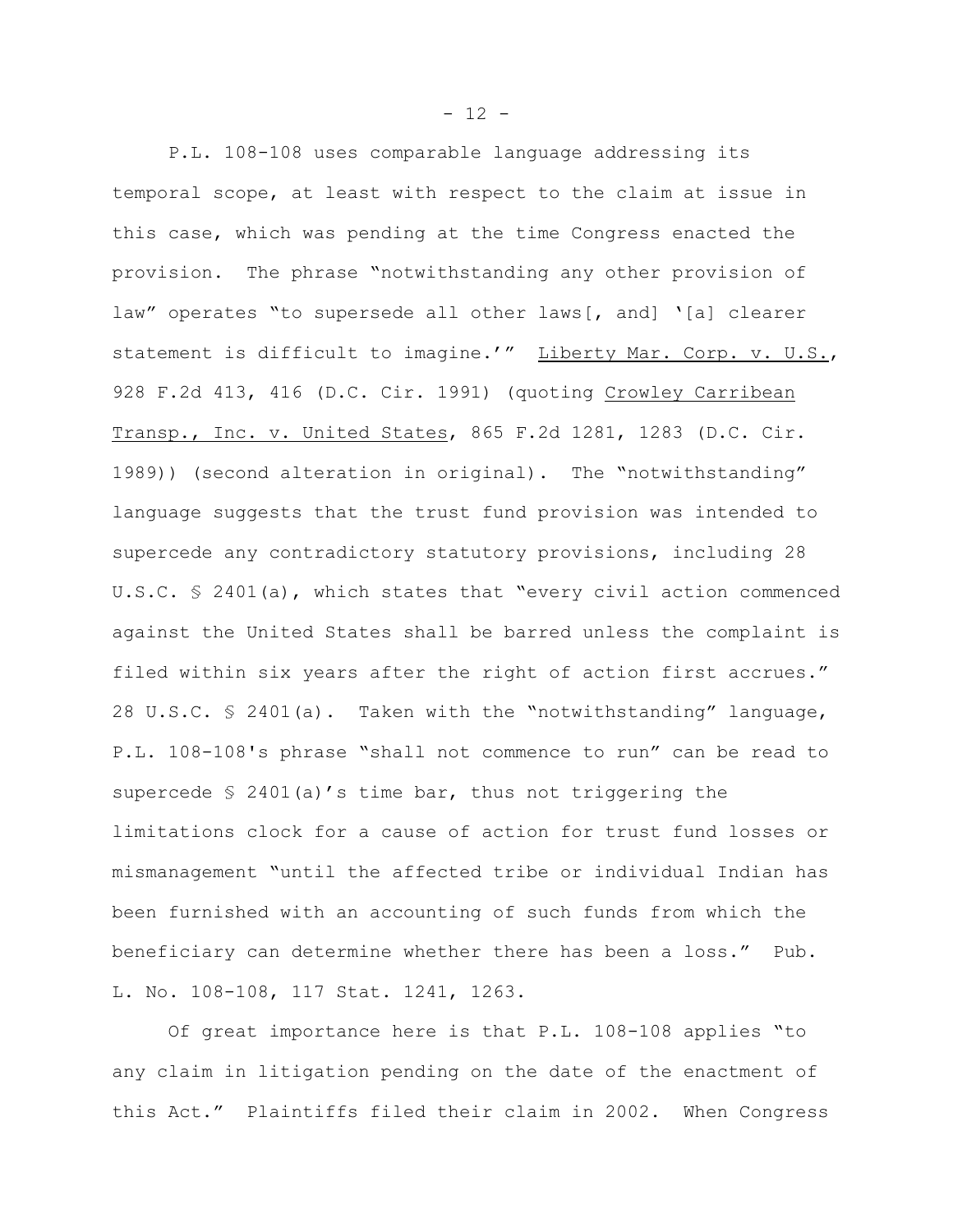P.L. 108-108 uses comparable language addressing its temporal scope, at least with respect to the claim at issue in this case, which was pending at the time Congress enacted the provision. The phrase "notwithstanding any other provision of law" operates "to supersede all other laws[, and] '[a] clearer statement is difficult to imagine.'" Liberty Mar. Corp. v. U.S., 928 F.2d 413, 416 (D.C. Cir. 1991) (quoting Crowley Carribean Transp., Inc. v. United States, 865 F.2d 1281, 1283 (D.C. Cir. 1989)) (second alteration in original). The "notwithstanding" language suggests that the trust fund provision was intended to supercede any contradictory statutory provisions, including 28 U.S.C. § 2401(a), which states that "every civil action commenced against the United States shall be barred unless the complaint is filed within six years after the right of action first accrues." 28 U.S.C. § 2401(a). Taken with the "notwithstanding" language, P.L. 108-108's phrase "shall not commence to run" can be read to supercede  $\frac{1}{2}$  2401(a)'s time bar, thus not triggering the limitations clock for a cause of action for trust fund losses or mismanagement "until the affected tribe or individual Indian has been furnished with an accounting of such funds from which the beneficiary can determine whether there has been a loss." Pub. L. No. 108-108, 117 Stat. 1241, 1263.

Of great importance here is that P.L. 108-108 applies "to any claim in litigation pending on the date of the enactment of this Act." Plaintiffs filed their claim in 2002. When Congress

- 12 -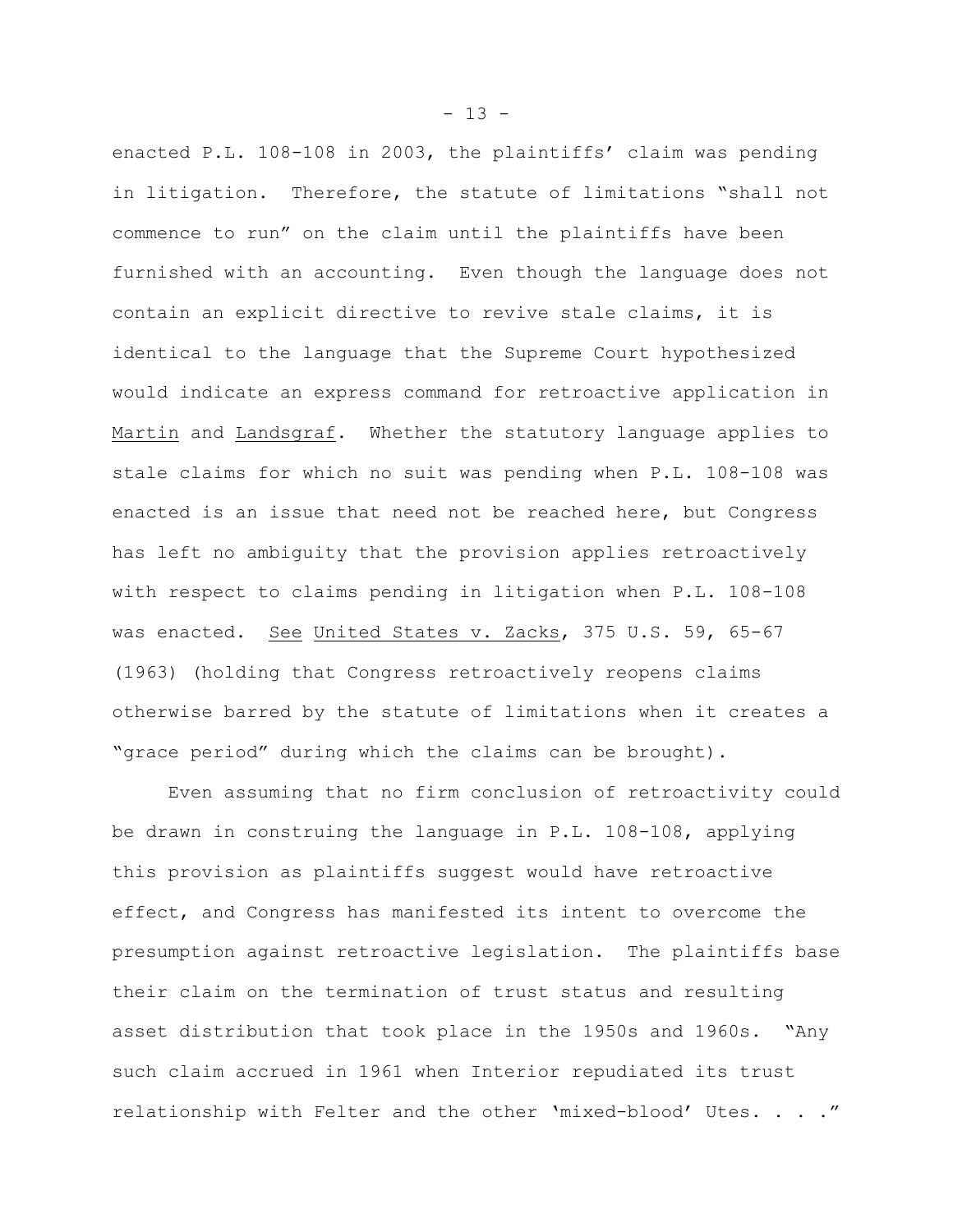enacted P.L. 108-108 in 2003, the plaintiffs' claim was pending in litigation. Therefore, the statute of limitations "shall not commence to run" on the claim until the plaintiffs have been furnished with an accounting. Even though the language does not contain an explicit directive to revive stale claims, it is identical to the language that the Supreme Court hypothesized would indicate an express command for retroactive application in Martin and Landsgraf. Whether the statutory language applies to stale claims for which no suit was pending when P.L. 108-108 was enacted is an issue that need not be reached here, but Congress has left no ambiguity that the provision applies retroactively with respect to claims pending in litigation when P.L. 108-108 was enacted. See United States v. Zacks, 375 U.S. 59, 65-67 (1963) (holding that Congress retroactively reopens claims otherwise barred by the statute of limitations when it creates a "grace period" during which the claims can be brought).

Even assuming that no firm conclusion of retroactivity could be drawn in construing the language in P.L. 108-108, applying this provision as plaintiffs suggest would have retroactive effect, and Congress has manifested its intent to overcome the presumption against retroactive legislation. The plaintiffs base their claim on the termination of trust status and resulting asset distribution that took place in the 1950s and 1960s. "Any such claim accrued in 1961 when Interior repudiated its trust relationship with Felter and the other 'mixed-blood' Utes. . . ."

- 13 -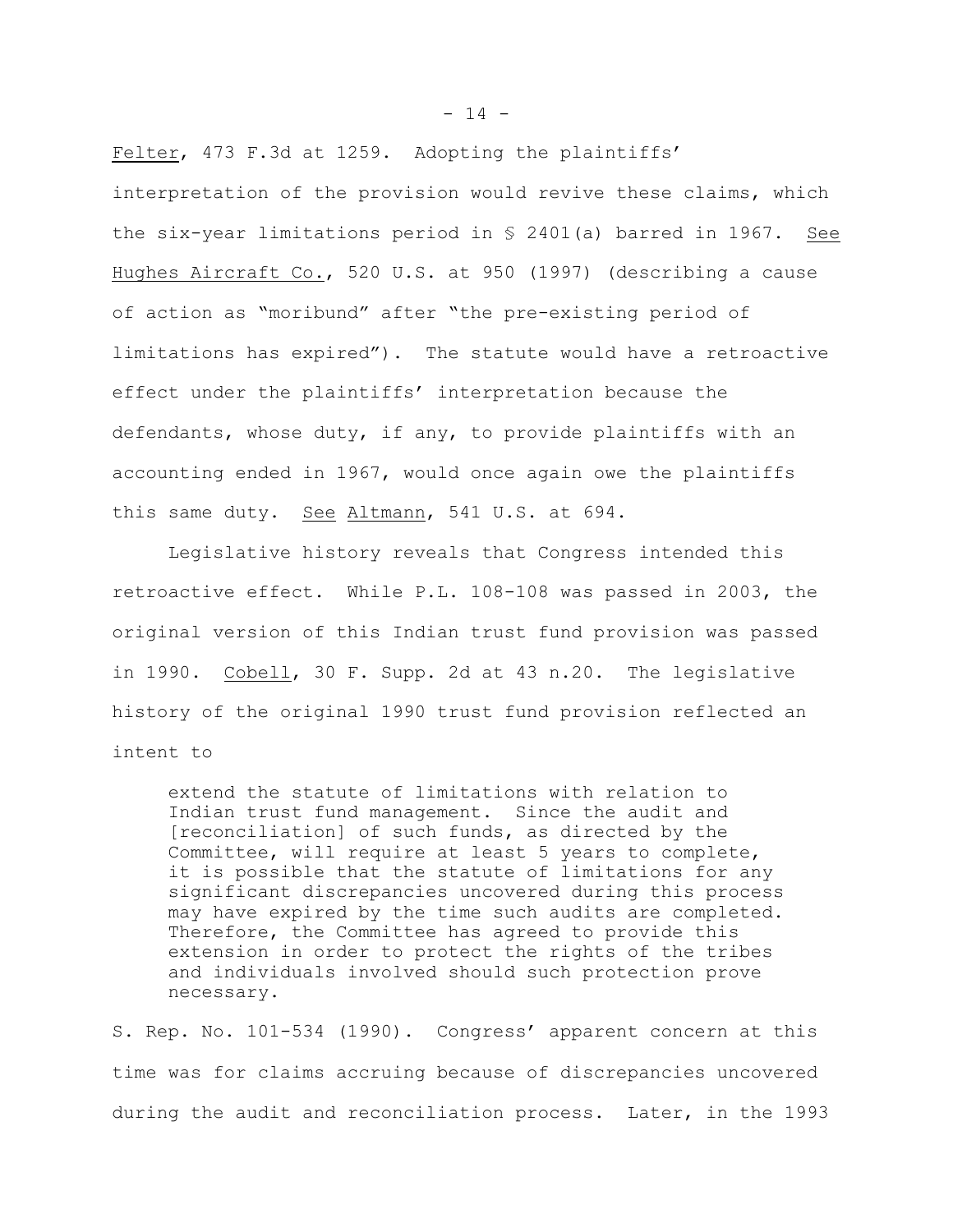Felter, 473 F.3d at 1259. Adopting the plaintiffs' interpretation of the provision would revive these claims, which the six-year limitations period in § 2401(a) barred in 1967. See Hughes Aircraft Co., 520 U.S. at 950 (1997) (describing a cause of action as "moribund" after "the pre-existing period of limitations has expired"). The statute would have a retroactive effect under the plaintiffs' interpretation because the defendants, whose duty, if any, to provide plaintiffs with an accounting ended in 1967, would once again owe the plaintiffs this same duty. See Altmann, 541 U.S. at 694.

Legislative history reveals that Congress intended this retroactive effect. While P.L. 108-108 was passed in 2003, the original version of this Indian trust fund provision was passed in 1990. Cobell, 30 F. Supp. 2d at 43 n.20. The legislative history of the original 1990 trust fund provision reflected an intent to

extend the statute of limitations with relation to Indian trust fund management. Since the audit and [reconciliation] of such funds, as directed by the Committee, will require at least 5 years to complete, it is possible that the statute of limitations for any significant discrepancies uncovered during this process may have expired by the time such audits are completed. Therefore, the Committee has agreed to provide this extension in order to protect the rights of the tribes and individuals involved should such protection prove necessary.

S. Rep. No. 101-534 (1990). Congress' apparent concern at this time was for claims accruing because of discrepancies uncovered during the audit and reconciliation process. Later, in the 1993

 $- 14 -$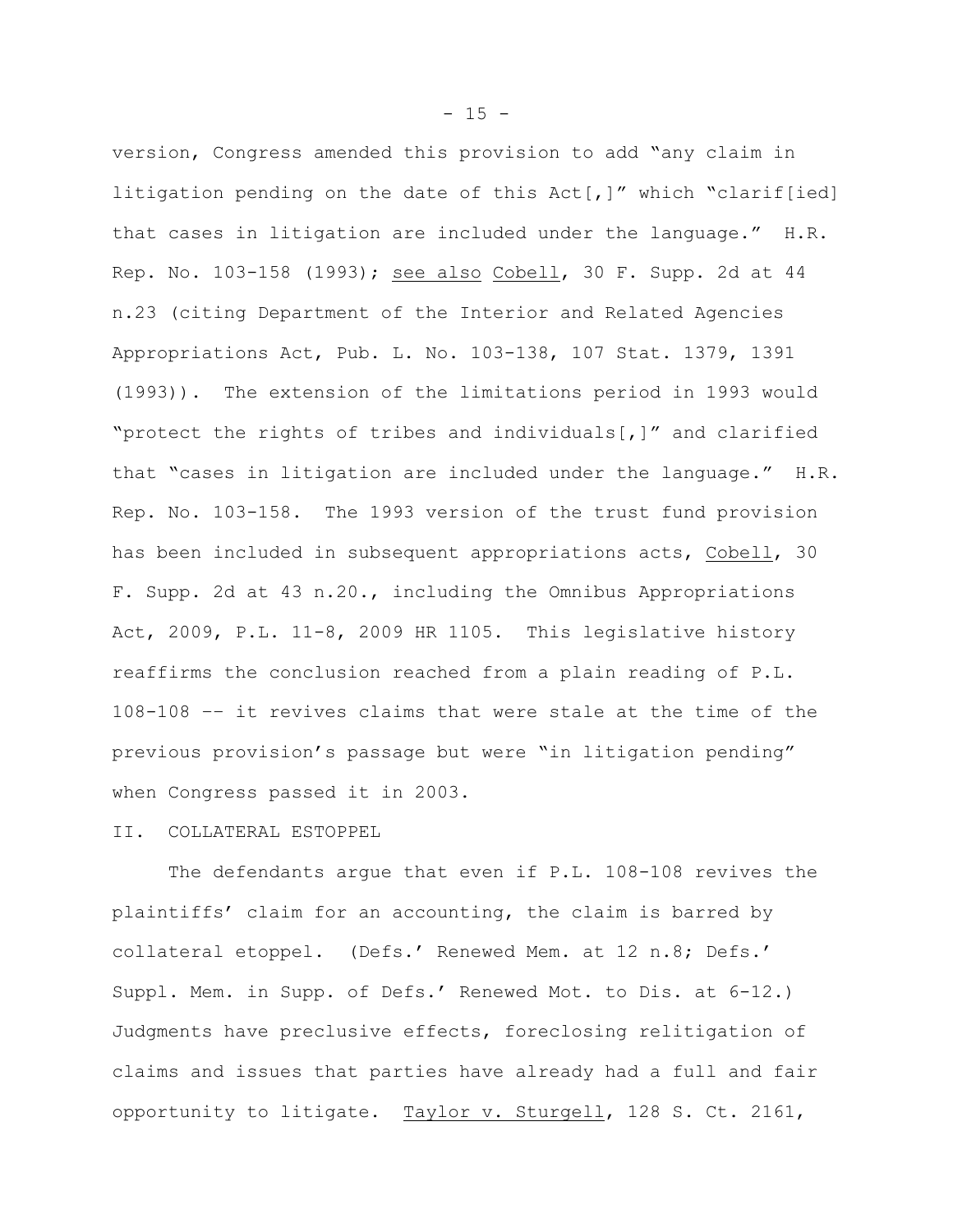version, Congress amended this provision to add "any claim in litigation pending on the date of this Act[,]" which "clarif[ied] that cases in litigation are included under the language." H.R. Rep. No. 103-158 (1993); see also Cobell, 30 F. Supp. 2d at 44 n.23 (citing Department of the Interior and Related Agencies Appropriations Act, Pub. L. No. 103-138, 107 Stat. 1379, 1391 (1993)). The extension of the limitations period in 1993 would "protect the rights of tribes and individuals[,]" and clarified that "cases in litigation are included under the language." H.R. Rep. No. 103-158. The 1993 version of the trust fund provision has been included in subsequent appropriations acts, Cobell, 30 F. Supp. 2d at 43 n.20., including the Omnibus Appropriations Act, 2009, P.L. 11-8, 2009 HR 1105. This legislative history reaffirms the conclusion reached from a plain reading of P.L. 108-108 –– it revives claims that were stale at the time of the previous provision's passage but were "in litigation pending" when Congress passed it in 2003.

II. COLLATERAL ESTOPPEL

The defendants argue that even if P.L. 108-108 revives the plaintiffs' claim for an accounting, the claim is barred by collateral etoppel. (Defs.' Renewed Mem. at 12 n.8; Defs.' Suppl. Mem. in Supp. of Defs.' Renewed Mot. to Dis. at 6-12.) Judgments have preclusive effects, foreclosing relitigation of claims and issues that parties have already had a full and fair opportunity to litigate. Taylor v. Sturgell, 128 S. Ct. 2161,

 $- 15 -$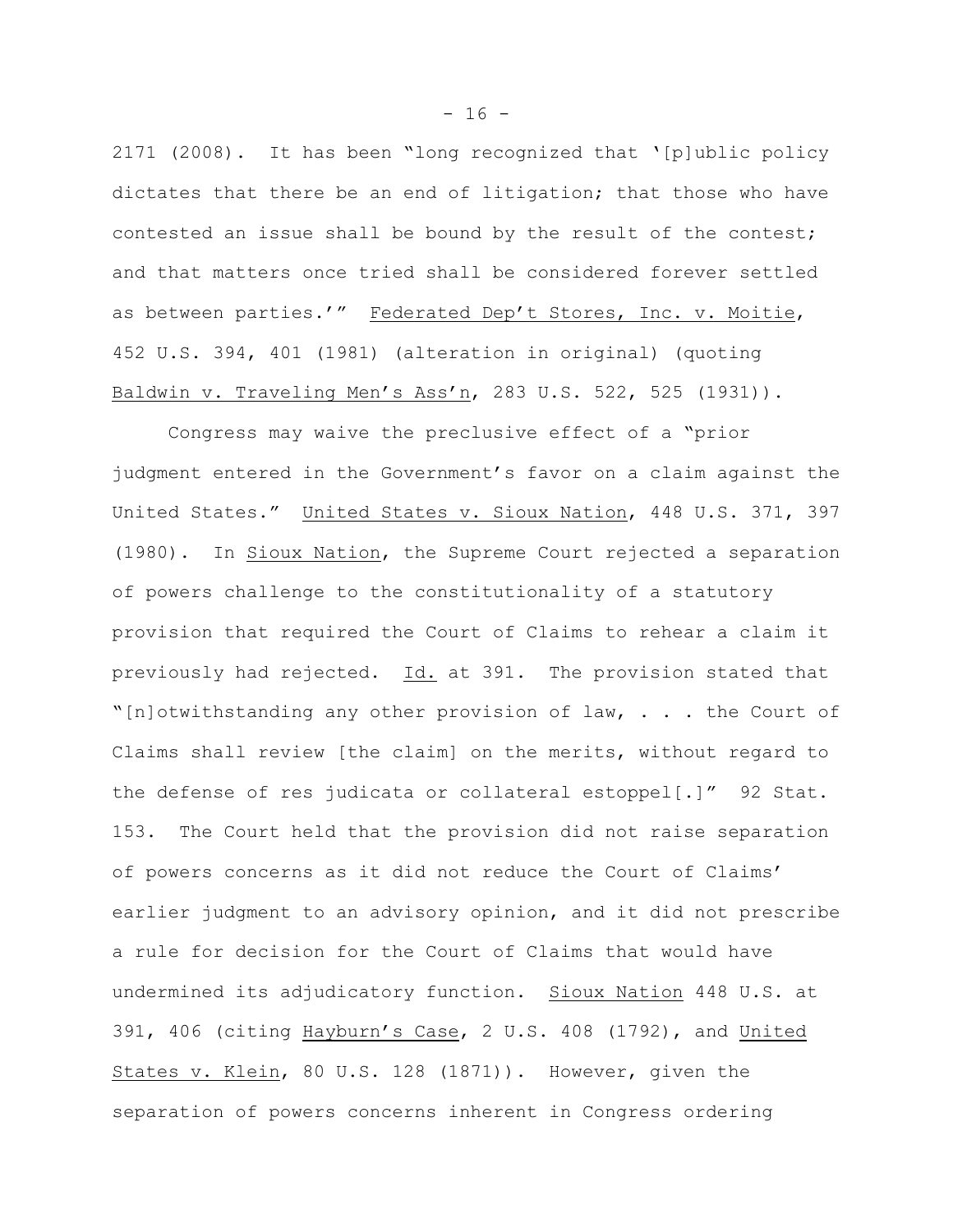2171 (2008). It has been "long recognized that '[p]ublic policy dictates that there be an end of litigation; that those who have contested an issue shall be bound by the result of the contest; and that matters once tried shall be considered forever settled as between parties.'" Federated Dep't Stores, Inc. v. Moitie, 452 U.S. 394, 401 (1981) (alteration in original) (quoting Baldwin v. Traveling Men's Ass'n, 283 U.S. 522, 525 (1931)).

Congress may waive the preclusive effect of a "prior judgment entered in the Government's favor on a claim against the United States." United States v. Sioux Nation, 448 U.S. 371, 397 (1980). In Sioux Nation, the Supreme Court rejected a separation of powers challenge to the constitutionality of a statutory provision that required the Court of Claims to rehear a claim it previously had rejected. Id. at 391. The provision stated that "[n]otwithstanding any other provision of law, . . . the Court of Claims shall review [the claim] on the merits, without regard to the defense of res judicata or collateral estoppel[.]" 92 Stat. 153. The Court held that the provision did not raise separation of powers concerns as it did not reduce the Court of Claims' earlier judgment to an advisory opinion, and it did not prescribe a rule for decision for the Court of Claims that would have undermined its adjudicatory function. Sioux Nation 448 U.S. at 391, 406 (citing Hayburn's Case, 2 U.S. 408 (1792), and United States v. Klein, 80 U.S. 128 (1871)). However, given the separation of powers concerns inherent in Congress ordering

 $- 16 -$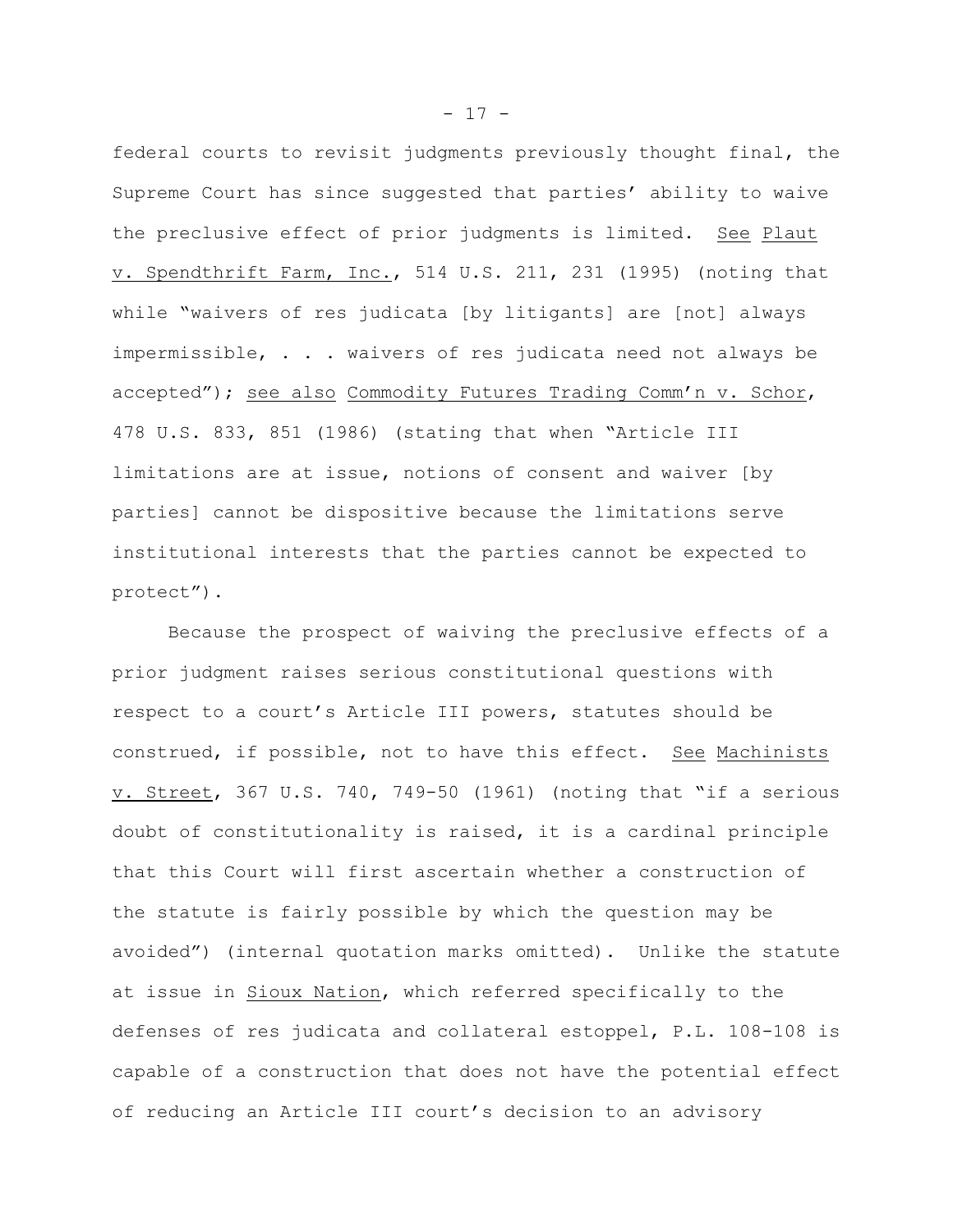federal courts to revisit judgments previously thought final, the Supreme Court has since suggested that parties' ability to waive the preclusive effect of prior judgments is limited. See Plaut v. Spendthrift Farm, Inc., 514 U.S. 211, 231 (1995) (noting that while "waivers of res judicata [by litigants] are [not] always impermissible, . . . waivers of res judicata need not always be accepted"); see also Commodity Futures Trading Comm'n v. Schor, 478 U.S. 833, 851 (1986) (stating that when "Article III limitations are at issue, notions of consent and waiver [by parties] cannot be dispositive because the limitations serve institutional interests that the parties cannot be expected to protect").

Because the prospect of waiving the preclusive effects of a prior judgment raises serious constitutional questions with respect to a court's Article III powers, statutes should be construed, if possible, not to have this effect. See Machinists v. Street, 367 U.S. 740, 749-50 (1961) (noting that "if a serious doubt of constitutionality is raised, it is a cardinal principle that this Court will first ascertain whether a construction of the statute is fairly possible by which the question may be avoided") (internal quotation marks omitted). Unlike the statute at issue in Sioux Nation, which referred specifically to the defenses of res judicata and collateral estoppel, P.L. 108-108 is capable of a construction that does not have the potential effect of reducing an Article III court's decision to an advisory

 $- 17 -$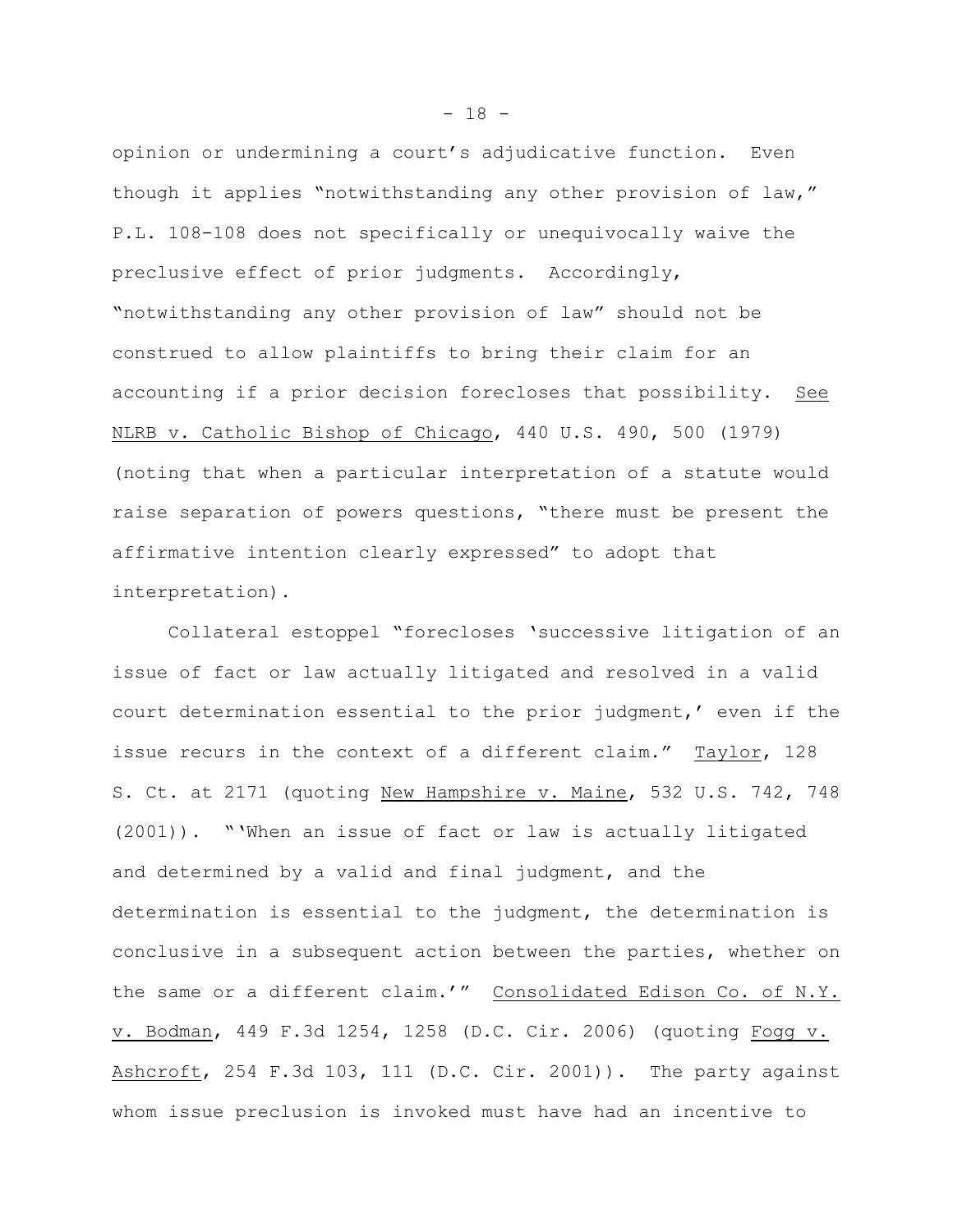opinion or undermining a court's adjudicative function. Even though it applies "notwithstanding any other provision of law," P.L. 108-108 does not specifically or unequivocally waive the preclusive effect of prior judgments. Accordingly, "notwithstanding any other provision of law" should not be construed to allow plaintiffs to bring their claim for an accounting if a prior decision forecloses that possibility. See NLRB v. Catholic Bishop of Chicago, 440 U.S. 490, 500 (1979) (noting that when a particular interpretation of a statute would raise separation of powers questions, "there must be present the affirmative intention clearly expressed" to adopt that interpretation).

Collateral estoppel "forecloses 'successive litigation of an issue of fact or law actually litigated and resolved in a valid court determination essential to the prior judgment,' even if the issue recurs in the context of a different claim." Taylor, 128 S. Ct. at 2171 (quoting New Hampshire v. Maine, 532 U.S. 742, 748 (2001)). "'When an issue of fact or law is actually litigated and determined by a valid and final judgment, and the determination is essential to the judgment, the determination is conclusive in a subsequent action between the parties, whether on the same or a different claim.'" Consolidated Edison Co. of N.Y. v. Bodman, 449 F.3d 1254, 1258 (D.C. Cir. 2006) (quoting Fogg v. Ashcroft, 254 F.3d 103, 111 (D.C. Cir. 2001)). The party against whom issue preclusion is invoked must have had an incentive to

- 18 -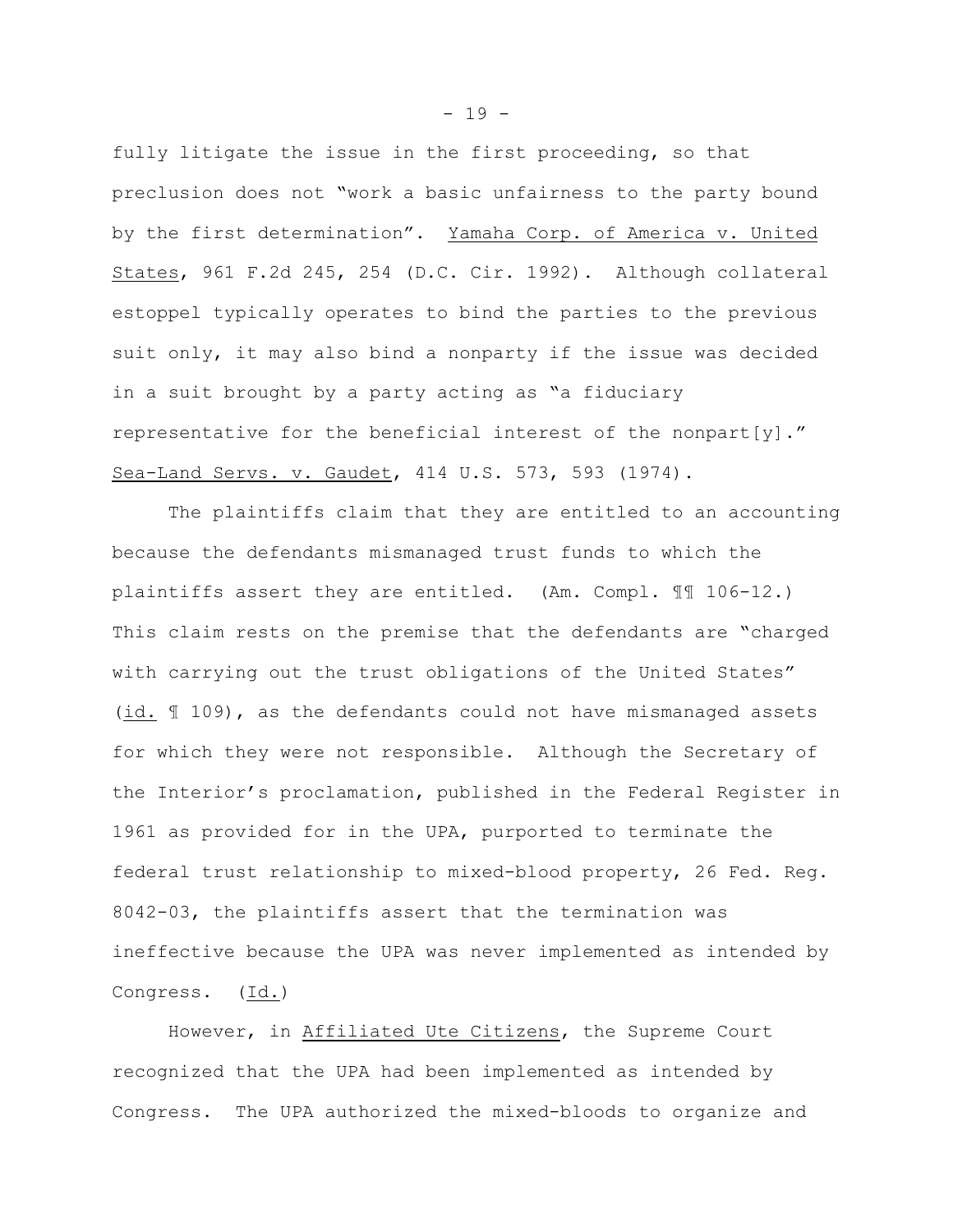fully litigate the issue in the first proceeding, so that preclusion does not "work a basic unfairness to the party bound by the first determination". Yamaha Corp. of America v. United States, 961 F.2d 245, 254 (D.C. Cir. 1992). Although collateral estoppel typically operates to bind the parties to the previous suit only, it may also bind a nonparty if the issue was decided in a suit brought by a party acting as "a fiduciary representative for the beneficial interest of the nonpart[y]." Sea-Land Servs. v. Gaudet, 414 U.S. 573, 593 (1974).

The plaintiffs claim that they are entitled to an accounting because the defendants mismanaged trust funds to which the plaintiffs assert they are entitled. (Am. Compl. ¶¶ 106-12.) This claim rests on the premise that the defendants are "charged with carrying out the trust obligations of the United States" (id. ¶ 109), as the defendants could not have mismanaged assets for which they were not responsible. Although the Secretary of the Interior's proclamation, published in the Federal Register in 1961 as provided for in the UPA, purported to terminate the federal trust relationship to mixed-blood property, 26 Fed. Reg. 8042-03, the plaintiffs assert that the termination was ineffective because the UPA was never implemented as intended by Congress. (Id.)

However, in Affiliated Ute Citizens, the Supreme Court recognized that the UPA had been implemented as intended by Congress. The UPA authorized the mixed-bloods to organize and

- 19 -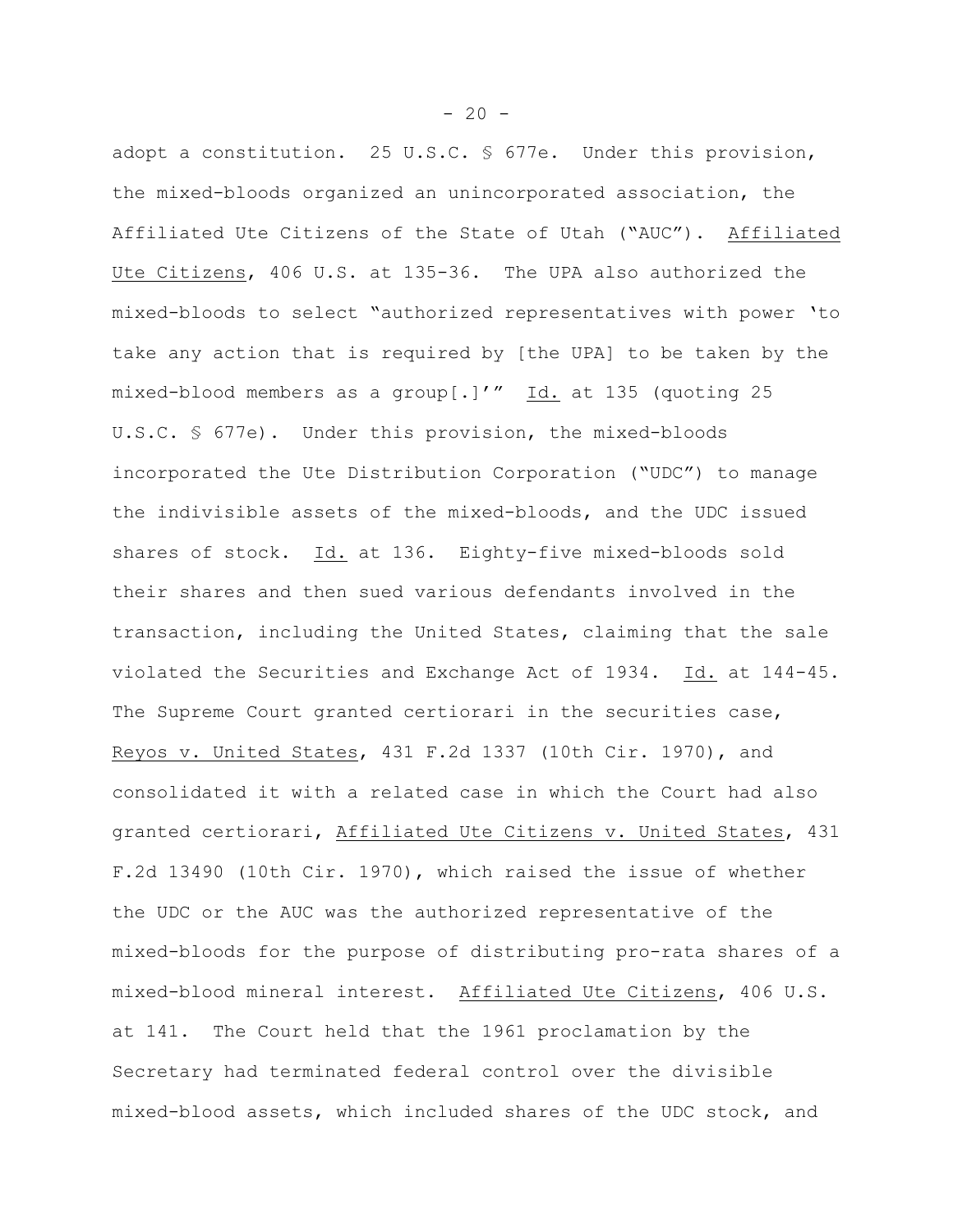adopt a constitution. 25 U.S.C. § 677e. Under this provision, the mixed-bloods organized an unincorporated association, the Affiliated Ute Citizens of the State of Utah ("AUC"). Affiliated Ute Citizens, 406 U.S. at 135-36. The UPA also authorized the mixed-bloods to select "authorized representatives with power 'to take any action that is required by [the UPA] to be taken by the mixed-blood members as a group[.]'" Id. at 135 (quoting 25 U.S.C. § 677e). Under this provision, the mixed-bloods incorporated the Ute Distribution Corporation ("UDC") to manage the indivisible assets of the mixed-bloods, and the UDC issued shares of stock. Id. at 136. Eighty-five mixed-bloods sold their shares and then sued various defendants involved in the transaction, including the United States, claiming that the sale violated the Securities and Exchange Act of 1934. Id. at 144-45. The Supreme Court granted certiorari in the securities case, Reyos v. United States, 431 F.2d 1337 (10th Cir. 1970), and consolidated it with a related case in which the Court had also granted certiorari, Affiliated Ute Citizens v. United States, 431 F.2d 13490 (10th Cir. 1970), which raised the issue of whether the UDC or the AUC was the authorized representative of the mixed-bloods for the purpose of distributing pro-rata shares of a mixed-blood mineral interest. Affiliated Ute Citizens, 406 U.S. at 141. The Court held that the 1961 proclamation by the Secretary had terminated federal control over the divisible mixed-blood assets, which included shares of the UDC stock, and

 $- 20 -$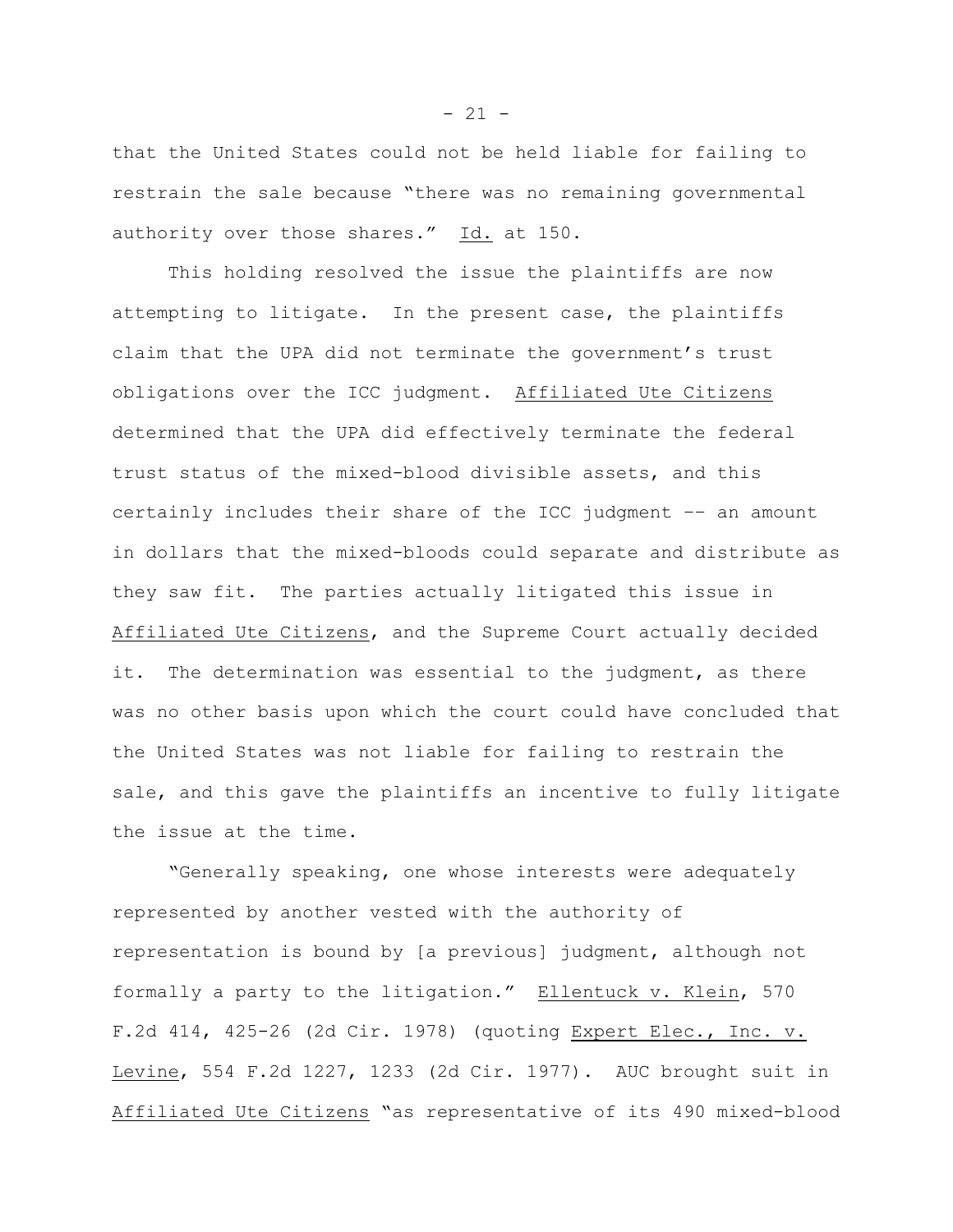that the United States could not be held liable for failing to restrain the sale because "there was no remaining governmental authority over those shares." Id. at 150.

This holding resolved the issue the plaintiffs are now attempting to litigate. In the present case, the plaintiffs claim that the UPA did not terminate the government's trust obligations over the ICC judgment. Affiliated Ute Citizens determined that the UPA did effectively terminate the federal trust status of the mixed-blood divisible assets, and this certainly includes their share of the ICC judgment –– an amount in dollars that the mixed-bloods could separate and distribute as they saw fit. The parties actually litigated this issue in Affiliated Ute Citizens, and the Supreme Court actually decided it. The determination was essential to the judgment, as there was no other basis upon which the court could have concluded that the United States was not liable for failing to restrain the sale, and this gave the plaintiffs an incentive to fully litigate the issue at the time.

"Generally speaking, one whose interests were adequately represented by another vested with the authority of representation is bound by [a previous] judgment, although not formally a party to the litigation." Ellentuck v. Klein, 570 F.2d 414, 425-26 (2d Cir. 1978) (quoting Expert Elec., Inc. v. Levine, 554 F.2d 1227, 1233 (2d Cir. 1977). AUC brought suit in Affiliated Ute Citizens "as representative of its 490 mixed-blood

 $- 21 -$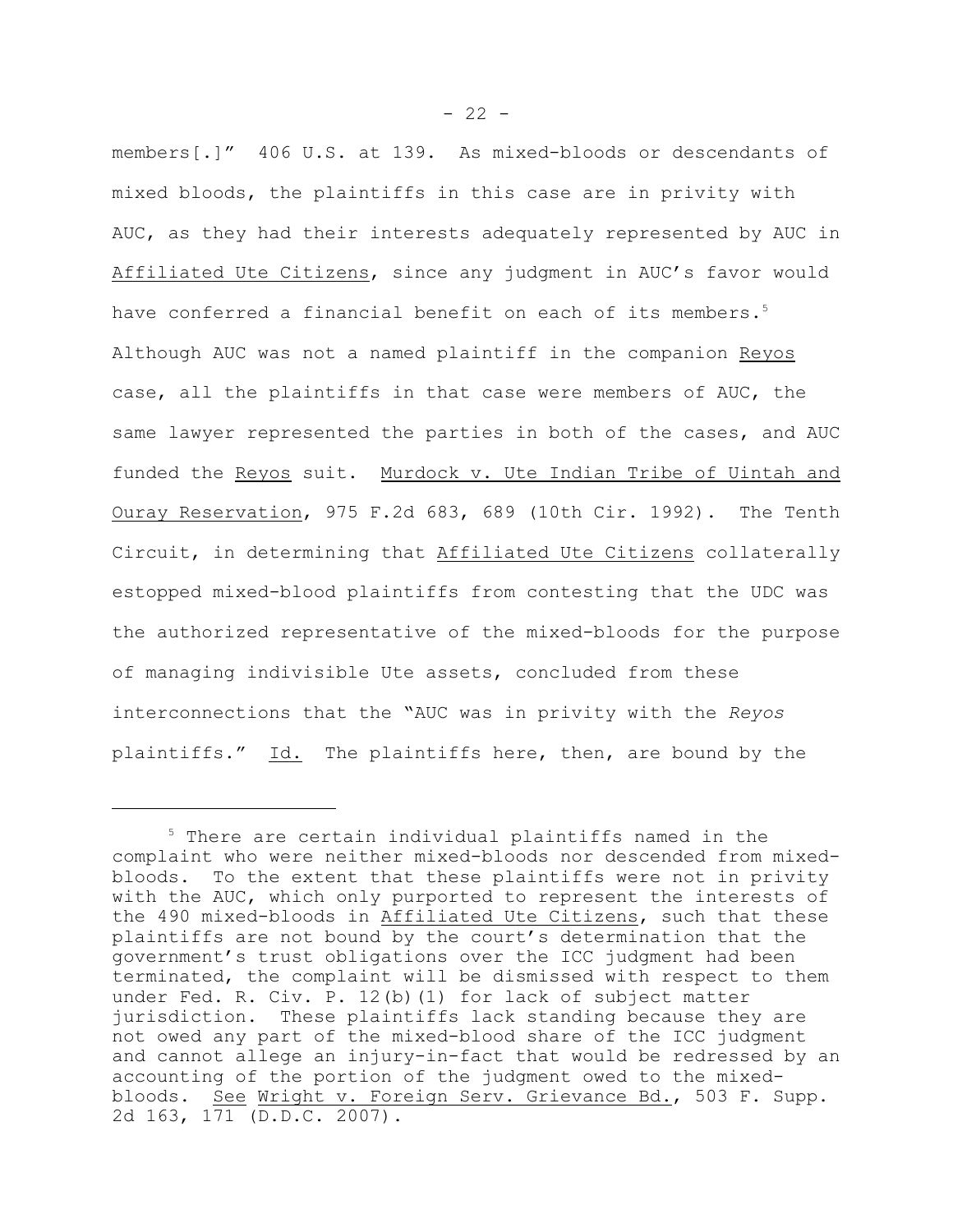members[.]" 406 U.S. at 139. As mixed-bloods or descendants of mixed bloods, the plaintiffs in this case are in privity with AUC, as they had their interests adequately represented by AUC in Affiliated Ute Citizens, since any judgment in AUC's favor would have conferred a financial benefit on each of its members.<sup>5</sup> Although AUC was not a named plaintiff in the companion Reyos case, all the plaintiffs in that case were members of AUC, the same lawyer represented the parties in both of the cases, and AUC funded the Reyos suit. Murdock v. Ute Indian Tribe of Uintah and Ouray Reservation, 975 F.2d 683, 689 (10th Cir. 1992). The Tenth Circuit, in determining that Affiliated Ute Citizens collaterally estopped mixed-blood plaintiffs from contesting that the UDC was the authorized representative of the mixed-bloods for the purpose of managing indivisible Ute assets, concluded from these interconnections that the "AUC was in privity with the *Reyos* plaintiffs." Id. The plaintiffs here, then, are bound by the

 $5$  There are certain individual plaintiffs named in the complaint who were neither mixed-bloods nor descended from mixedbloods. To the extent that these plaintiffs were not in privity with the AUC, which only purported to represent the interests of the 490 mixed-bloods in Affiliated Ute Citizens, such that these plaintiffs are not bound by the court's determination that the government's trust obligations over the ICC judgment had been terminated, the complaint will be dismissed with respect to them under Fed. R. Civ. P. 12(b)(1) for lack of subject matter jurisdiction. These plaintiffs lack standing because they are not owed any part of the mixed-blood share of the ICC judgment and cannot allege an injury-in-fact that would be redressed by an accounting of the portion of the judgment owed to the mixedbloods. See Wright v. Foreign Serv. Grievance Bd., 503 F. Supp. 2d 163, 171 (D.D.C. 2007).